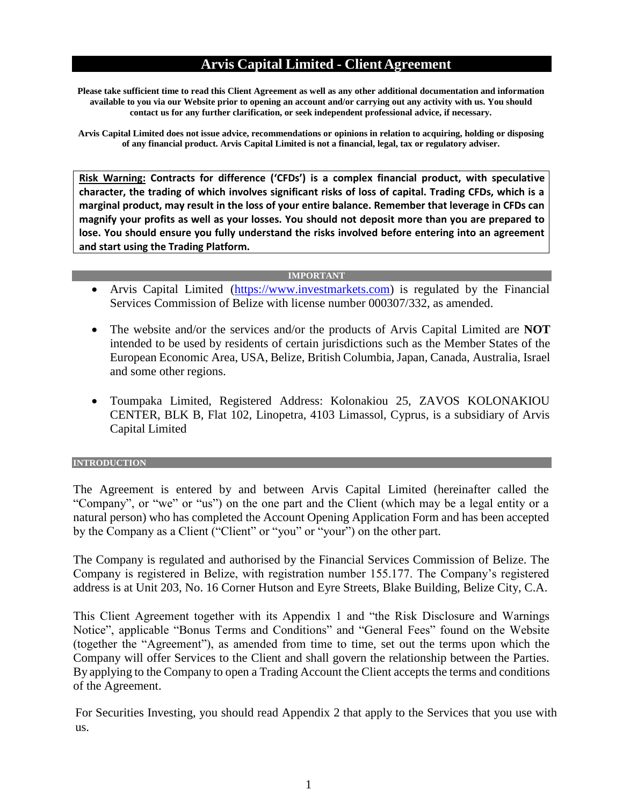### **Arvis Capital Limited - ClientAgreement**

**Please take sufficient time to read this Client Agreement as well as any other additional documentation and information available to you via our Website prior to opening an account and/or carrying out any activity with us. You should contact us for any further clarification, or seek independent professional advice, if necessary.**

**Arvis Capital Limited does not issue advice, recommendations or opinions in relation to acquiring, holding or disposing of any financial product. Arvis Capital Limited is not a financial, legal, tax or regulatory adviser.**

**Risk Warning: Contracts for difference ('CFDs') is a complex financial product, with speculative character, the trading of which involves significant risks of loss of capital. Trading CFDs, which is a marginal product, may result in the loss of your entire balance. Remember that leverage in CFDs can magnify your profits as well as your losses. You should not deposit more than you are prepared to lose. You should ensure you fully understand the risks involved before entering into an agreement and start using the Trading Platform.**

#### **IMPORTANT**

- Arvis Capital Limited [\(https://www.investmarkets.com\)](https://www.investmarkets.com/international/) is regulated by the Financial Services Commission of Belize with license number 000307/332, as amended.
- The website and/or the services and/or the products of Arvis Capital Limited are **NOT**  intended to be used by residents of certain jurisdictions such as the Member States of the European Economic Area, USA, Belize, British Columbia,Japan, Canada, Australia, Israel and some other regions.
- Toumpaka Limited, Registered Address: Kolonakiou 25, ZAVOS KOLONAKIOU CENTER, BLK B, Flat 102, Linopetra, 4103 Limassol, Cyprus, is a subsidiary of Arvis Capital Limited

#### **INTRODUCTION**

The Agreement is entered by and between Arvis Capital Limited (hereinafter called the "Company", or "we" or "us") on the one part and the Client (which may be a legal entity or a natural person) who has completed the Account Opening Application Form and has been accepted by the Company as a Client ("Client" or "you" or "your") on the other part.

The Company is regulated and authorised by the Financial Services Commission of Belize. The Company is registered in Belize, with registration number 155.177. The Company's registered address is at Unit 203, No. 16 Corner Hutson and Eyre Streets, Blake Building, Belize City, C.A.

This Client Agreement together with its Appendix 1 and "the Risk Disclosure and Warnings Notice", applicable "Bonus Terms and Conditions" and "General Fees" found on the Website (together the "Agreement"), as amended from time to time, set out the terms upon which the Company will offer Services to the Client and shall govern the relationship between the Parties. By applying to the Company to open a Trading Account the Client accepts the terms and conditions of the Agreement.

For Securities Investing, you should read Appendix 2 that apply to the Services that you use with us.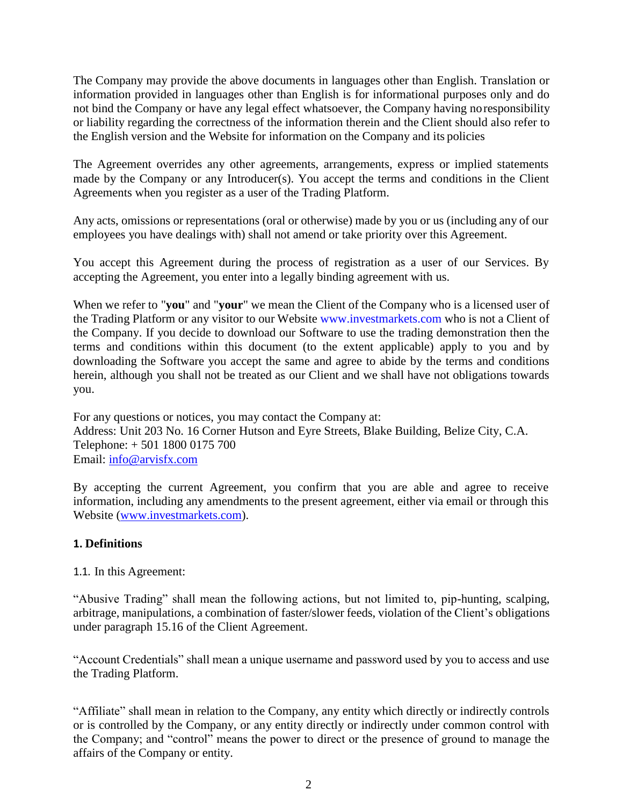The Company may provide the above documents in languages other than English. Translation or information provided in languages other than English is for informational purposes only and do not bind the Company or have any legal effect whatsoever, the Company having noresponsibility or liability regarding the correctness of the information therein and the Client should also refer to the English version and the Website for information on the Company and its policies

The Agreement overrides any other agreements, arrangements, express or implied statements made by the Company or any Introducer(s). You accept the terms and conditions in the Client Agreements when you register as a user of the Trading Platform.

Any acts, omissions or representations (oral or otherwise) made by you or us (including any of our employees you have dealings with) shall not amend or take priority over this Agreement.

You accept this Agreement during the process of registration as a user of our Services. By accepting the Agreement, you enter into a legally binding agreement with us.

When we refer to "**you**" and "**your**" we mean the Client of the Company who is a licensed user of the Trading Platform or any visitor to our Website [www.investmarkets.com](https://www.investmarkets.com/international/) who is not a Client of the Company. If you decide to download our Software to use the trading demonstration then the terms and conditions within this document (to the extent applicable) apply to you and by downloading the Software you accept the same and agree to abide by the terms and conditions herein, although you shall not be treated as our Client and we shall have not obligations towards you.

For any questions or notices, you may contact the Company at: Address: Unit 203 No. 16 Corner Hutson and Eyre Streets, Blake Building, Belize City, C.A. Telephone: + 501 1800 0175 700 Email: [info@arvisfx.com](mailto:info@arvisfx.com)

By accepting the current Agreement, you confirm that you are able and agree to receive information, including any amendments to the present agreement, either via email or through this Website [\(www.investmarkets.com\)](https://www.investmarkets.com/international/).

#### **1. Definitions**

1.1. In this Agreement:

"Abusive Trading" shall mean the following actions, but not limited to, pip-hunting, scalping, arbitrage, manipulations, a combination of faster/slower feeds, violation of the Client's obligations under paragraph 15.16 of the Client Agreement.

"Account Credentials" shall mean a unique username and password used by you to access and use the Trading Platform.

"Affiliate" shall mean in relation to the Company, any entity which directly or indirectly controls or is controlled by the Company, or any entity directly or indirectly under common control with the Company; and "control" means the power to direct or the presence of ground to manage the affairs of the Company or entity.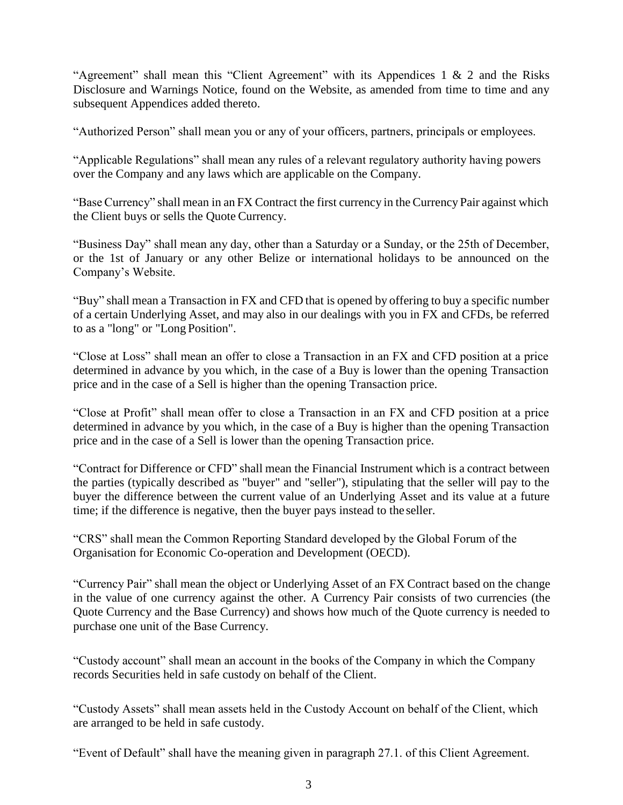"Agreement" shall mean this "Client Agreement" with its Appendices 1  $\&$  2 and the Risks Disclosure and Warnings Notice, found on the Website, as amended from time to time and any subsequent Appendices added thereto.

"Authorized Person" shall mean you or any of your officers, partners, principals or employees.

"Applicable Regulations" shall mean any rules of a relevant regulatory authority having powers over the Company and any laws which are applicable on the Company.

"BaseCurrency" shall mean in an FX Contract the first currency in the Currency Pair against which the Client buys or sells the Quote Currency.

"Business Day" shall mean any day, other than a Saturday or a Sunday, or the 25th of December, or the 1st of January or any other Belize or international holidays to be announced on the Company's Website.

"Buy" shall mean a Transaction in FX and CFD that is opened by offering to buy a specific number of a certain Underlying Asset, and may also in our dealings with you in FX and CFDs, be referred to as a "long" or "Long Position".

"Close at Loss" shall mean an offer to close a Transaction in an FX and CFD position at a price determined in advance by you which, in the case of a Buy is lower than the opening Transaction price and in the case of a Sell is higher than the opening Transaction price.

"Close at Profit" shall mean offer to close a Transaction in an FX and CFD position at a price determined in advance by you which, in the case of a Buy is higher than the opening Transaction price and in the case of a Sell is lower than the opening Transaction price.

"Contract for Difference or CFD" shall mean the Financial Instrument which is a contract between the parties (typically described as "buyer" and "seller"), stipulating that the seller will pay to the buyer the difference between the current value of an Underlying Asset and its value at a future time; if the difference is negative, then the buyer pays instead to the seller.

"CRS" shall mean the Common Reporting Standard developed by the Global Forum of the Organisation for Economic Co-operation and Development (OECD).

"Currency Pair" shall mean the object or Underlying Asset of an FX Contract based on the change in the value of one currency against the other. A Currency Pair consists of two currencies (the Quote Currency and the Base Currency) and shows how much of the Quote currency is needed to purchase one unit of the Base Currency.

"Custody account" shall mean an account in the books of the Company in which the Company records Securities held in safe custody on behalf of the Client.

"Custody Assets" shall mean assets held in the Custody Account on behalf of the Client, which are arranged to be held in safe custody.

"Event of Default" shall have the meaning given in paragraph 27.1. of this Client Agreement.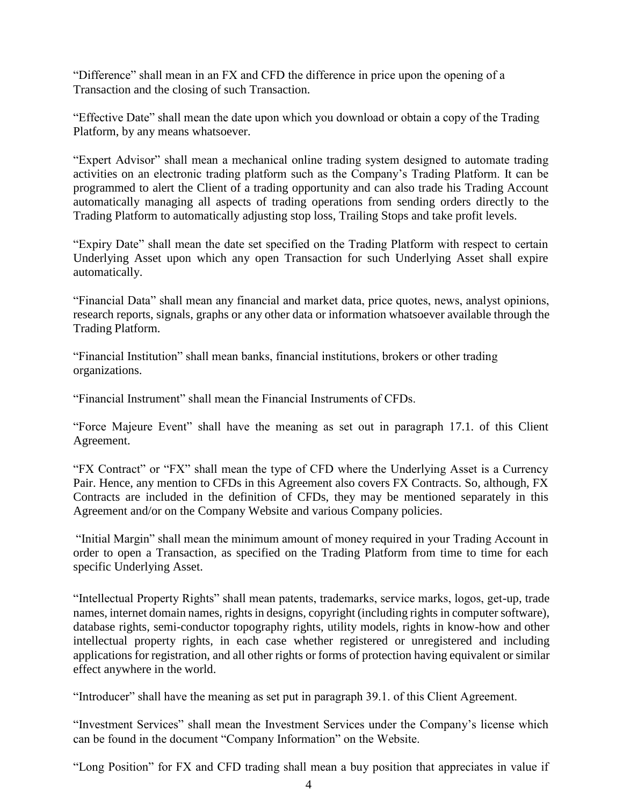"Difference" shall mean in an FX and CFD the difference in price upon the opening of a Transaction and the closing of such Transaction.

"Effective Date" shall mean the date upon which you download or obtain a copy of the Trading Platform, by any means whatsoever.

"Expert Advisor" shall mean a mechanical online trading system designed to automate trading activities on an electronic trading platform such as the Company's Trading Platform. It can be programmed to alert the Client of a trading opportunity and can also trade his Trading Account automatically managing all aspects of trading operations from sending orders directly to the Trading Platform to automatically adjusting stop loss, Trailing Stops and take profit levels.

"Expiry Date" shall mean the date set specified on the Trading Platform with respect to certain Underlying Asset upon which any open Transaction for such Underlying Asset shall expire automatically.

"Financial Data" shall mean any financial and market data, price quotes, news, analyst opinions, research reports, signals, graphs or any other data or information whatsoever available through the Trading Platform.

"Financial Institution" shall mean banks, financial institutions, brokers or other trading organizations.

"Financial Instrument" shall mean the Financial Instruments of CFDs.

"Force Majeure Event" shall have the meaning as set out in paragraph 17.1. of this Client Agreement.

"FX Contract" or "FX" shall mean the type of CFD where the Underlying Asset is a Currency Pair. Hence, any mention to CFDs in this Agreement also covers FX Contracts. So, although, FX Contracts are included in the definition of CFDs, they may be mentioned separately in this Agreement and/or on the Company Website and various Company policies.

"Initial Margin" shall mean the minimum amount of money required in your Trading Account in order to open a Transaction, as specified on the Trading Platform from time to time for each specific Underlying Asset.

"Intellectual Property Rights" shall mean patents, trademarks, service marks, logos, get-up, trade names, internet domain names, rights in designs, copyright (including rights in computer software), database rights, semi-conductor topography rights, utility models, rights in know-how and other intellectual property rights, in each case whether registered or unregistered and including applications for registration, and all other rights or forms of protection having equivalent or similar effect anywhere in the world.

"Introducer" shall have the meaning as set put in paragraph 39.1. of this Client Agreement.

"Investment Services" shall mean the Investment Services under the Company's license which can be found in the document "Company Information" on the Website.

"Long Position" for FX and CFD trading shall mean a buy position that appreciates in value if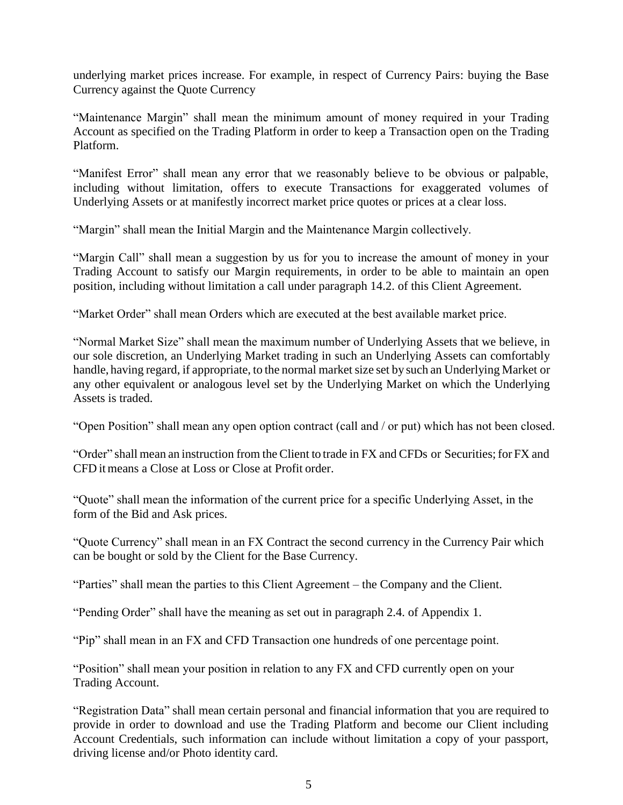underlying market prices increase. For example, in respect of Currency Pairs: buying the Base Currency against the Quote Currency

"Maintenance Margin" shall mean the minimum amount of money required in your Trading Account as specified on the Trading Platform in order to keep a Transaction open on the Trading Platform.

"Manifest Error" shall mean any error that we reasonably believe to be obvious or palpable, including without limitation, offers to execute Transactions for exaggerated volumes of Underlying Assets or at manifestly incorrect market price quotes or prices at a clear loss.

"Margin" shall mean the Initial Margin and the Maintenance Margin collectively.

"Margin Call" shall mean a suggestion by us for you to increase the amount of money in your Trading Account to satisfy our Margin requirements, in order to be able to maintain an open position, including without limitation a call under paragraph 14.2. of this Client Agreement.

"Market Order" shall mean Orders which are executed at the best available market price.

"Normal Market Size" shall mean the maximum number of Underlying Assets that we believe, in our sole discretion, an Underlying Market trading in such an Underlying Assets can comfortably handle, having regard, if appropriate, to the normal market size set by such an Underlying Market or any other equivalent or analogous level set by the Underlying Market on which the Underlying Assets is traded.

"Open Position" shall mean any open option contract (call and / or put) which has not been closed.

"Order" shall mean an instruction from the Client to trade in FX and CFDs or Securities;for FX and CFD itmeans a Close at Loss or Close at Profit order.

"Quote" shall mean the information of the current price for a specific Underlying Asset, in the form of the Bid and Ask prices.

"Quote Currency" shall mean in an FX Contract the second currency in the Currency Pair which can be bought or sold by the Client for the Base Currency.

"Parties" shall mean the parties to this Client Agreement – the Company and the Client.

"Pending Order" shall have the meaning as set out in paragraph 2.4. of Appendix 1.

"Pip" shall mean in an FX and CFD Transaction one hundreds of one percentage point.

"Position" shall mean your position in relation to any FX and CFD currently open on your Trading Account.

"Registration Data" shall mean certain personal and financial information that you are required to provide in order to download and use the Trading Platform and become our Client including Account Credentials, such information can include without limitation a copy of your passport, driving license and/or Photo identity card.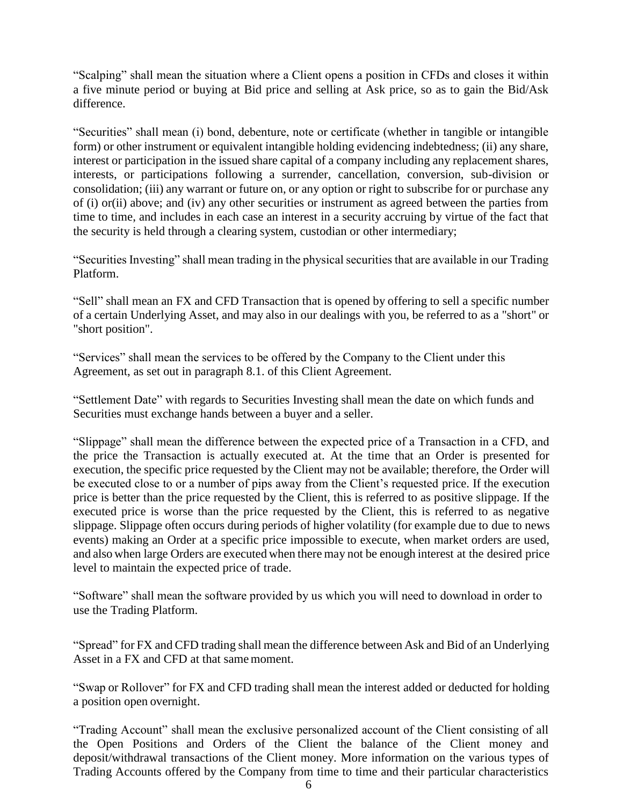"Scalping" shall mean the situation where a Client opens a position in CFDs and closes it within a five minute period or buying at Bid price and selling at Ask price, so as to gain the Bid/Ask difference.

"Securities" shall mean (i) bond, debenture, note or certificate (whether in tangible or intangible form) or other instrument or equivalent intangible holding evidencing indebtedness; (ii) any share, interest or participation in the issued share capital of a company including any replacement shares, interests, or participations following a surrender, cancellation, conversion, sub-division or consolidation; (iii) any warrant or future on, or any option or right to subscribe for or purchase any of (i) or(ii) above; and (iv) any other securities or instrument as agreed between the parties from time to time, and includes in each case an interest in a security accruing by virtue of the fact that the security is held through a clearing system, custodian or other intermediary;

"Securities Investing" shall mean trading in the physical securities that are available in our Trading Platform.

"Sell" shall mean an FX and CFD Transaction that is opened by offering to sell a specific number of a certain Underlying Asset, and may also in our dealings with you, be referred to as a "short" or "short position".

"Services" shall mean the services to be offered by the Company to the Client under this Agreement, as set out in paragraph 8.1. of this Client Agreement.

"Settlement Date" with regards to Securities Investing shall mean the date on which funds and Securities must exchange hands between a buyer and a seller.

"Slippage" shall mean the difference between the expected price of a Transaction in a CFD, and the price the Transaction is actually executed at. At the time that an Order is presented for execution, the specific price requested by the Client may not be available; therefore, the Order will be executed close to or a number of pips away from the Client's requested price. If the execution price is better than the price requested by the Client, this is referred to as positive slippage. If the executed price is worse than the price requested by the Client, this is referred to as negative slippage. Slippage often occurs during periods of higher volatility (for example due to due to news events) making an Order at a specific price impossible to execute, when market orders are used, and also when large Orders are executed when there may not be enough interest at the desired price level to maintain the expected price of trade.

"Software" shall mean the software provided by us which you will need to download in order to use the Trading Platform.

"Spread" for FX and CFD trading shall mean the difference between Ask and Bid of an Underlying Asset in a FX and CFD at that same moment.

"Swap or Rollover" for FX and CFD trading shall mean the interest added or deducted for holding a position open overnight.

"Trading Account" shall mean the exclusive personalized account of the Client consisting of all the Open Positions and Orders of the Client the balance of the Client money and deposit/withdrawal transactions of the Client money. More information on the various types of Trading Accounts offered by the Company from time to time and their particular characteristics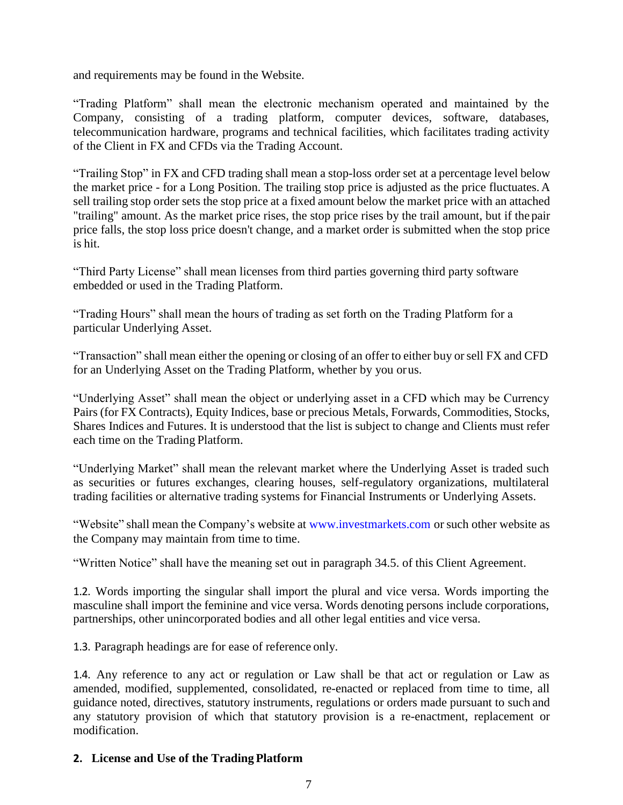and requirements may be found in the Website.

"Trading Platform" shall mean the electronic mechanism operated and maintained by the Company, consisting of a trading platform, computer devices, software, databases, telecommunication hardware, programs and technical facilities, which facilitates trading activity of the Client in FX and CFDs via the Trading Account.

"Trailing Stop" in FX and CFD trading shall mean a stop-loss order set at a percentage level below the market price - for a Long Position. The trailing stop price is adjusted as the price fluctuates. A sell trailing stop order sets the stop price at a fixed amount below the market price with an attached "trailing" amount. As the market price rises, the stop price rises by the trail amount, but if the pair price falls, the stop loss price doesn't change, and a market order is submitted when the stop price is hit.

"Third Party License" shall mean licenses from third parties governing third party software embedded or used in the Trading Platform.

"Trading Hours" shall mean the hours of trading as set forth on the Trading Platform for a particular Underlying Asset.

"Transaction" shall mean either the opening or closing of an offer to either buy orsell FX and CFD for an Underlying Asset on the Trading Platform, whether by you orus.

"Underlying Asset" shall mean the object or underlying asset in a CFD which may be Currency Pairs (for FX Contracts), Equity Indices, base or precious Metals, Forwards, Commodities, Stocks, Shares Indices and Futures. It is understood that the list is subject to change and Clients must refer each time on the Trading Platform.

"Underlying Market" shall mean the relevant market where the Underlying Asset is traded such as securities or futures exchanges, clearing houses, self-regulatory organizations, multilateral trading facilities or alternative trading systems for Financial Instruments or Underlying Assets.

"Website" shall mean the Company's website at [www.investmarkets.com](https://www.investmarkets.com/international/) or such other website as the Company may maintain from time to time.

"Written Notice" shall have the meaning set out in paragraph 34.5. of this Client Agreement.

1.2. Words importing the singular shall import the plural and vice versa. Words importing the masculine shall import the feminine and vice versa. Words denoting persons include corporations, partnerships, other unincorporated bodies and all other legal entities and vice versa.

1.3. Paragraph headings are for ease of reference only.

1.4. Any reference to any act or regulation or Law shall be that act or regulation or Law as amended, modified, supplemented, consolidated, re-enacted or replaced from time to time, all guidance noted, directives, statutory instruments, regulations or orders made pursuant to such and any statutory provision of which that statutory provision is a re-enactment, replacement or modification.

# **2. License and Use of the Trading Platform**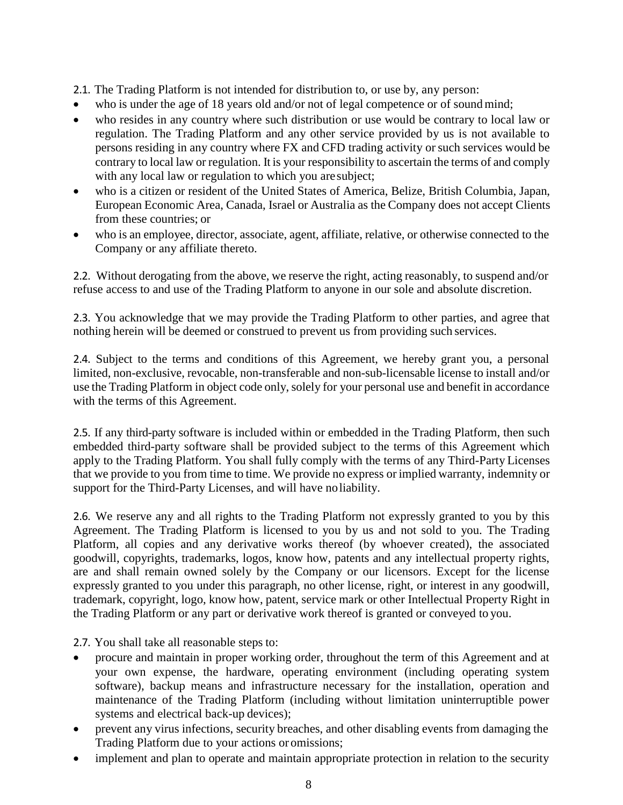2.1. The Trading Platform is not intended for distribution to, or use by, any person:

- who is under the age of 18 years old and/or not of legal competence or of sound mind;
- who resides in any country where such distribution or use would be contrary to local law or regulation. The Trading Platform and any other service provided by us is not available to persons residing in any country where FX and CFD trading activity orsuch services would be contrary to local law or regulation. It is your responsibility to ascertain the terms of and comply with any local law or regulation to which you aresubject;
- who is a citizen or resident of the United States of America, Belize, British Columbia, Japan, European Economic Area, Canada, Israel or Australia as the Company does not accept Clients from these countries; or
- who is an employee, director, associate, agent, affiliate, relative, or otherwise connected to the Company or any affiliate thereto.

2.2. Without derogating from the above, we reserve the right, acting reasonably, to suspend and/or refuse access to and use of the Trading Platform to anyone in our sole and absolute discretion.

2.3. You acknowledge that we may provide the Trading Platform to other parties, and agree that nothing herein will be deemed or construed to prevent us from providing such services.

2.4. Subject to the terms and conditions of this Agreement, we hereby grant you, a personal limited, non-exclusive, revocable, non-transferable and non-sub-licensable license to install and/or use the Trading Platform in object code only, solely for your personal use and benefit in accordance with the terms of this Agreement.

2.5. If any third-party software is included within or embedded in the Trading Platform, then such embedded third-party software shall be provided subject to the terms of this Agreement which apply to the Trading Platform. You shall fully comply with the terms of any Third-Party Licenses that we provide to you from time to time. We provide no express or implied warranty, indemnity or support for the Third-Party Licenses, and will have noliability.

2.6. We reserve any and all rights to the Trading Platform not expressly granted to you by this Agreement. The Trading Platform is licensed to you by us and not sold to you. The Trading Platform, all copies and any derivative works thereof (by whoever created), the associated goodwill, copyrights, trademarks, logos, know how, patents and any intellectual property rights, are and shall remain owned solely by the Company or our licensors. Except for the license expressly granted to you under this paragraph, no other license, right, or interest in any goodwill, trademark, copyright, logo, know how, patent, service mark or other Intellectual Property Right in the Trading Platform or any part or derivative work thereof is granted or conveyed to you.

2.7. You shall take all reasonable steps to:

- procure and maintain in proper working order, throughout the term of this Agreement and at your own expense, the hardware, operating environment (including operating system software), backup means and infrastructure necessary for the installation, operation and maintenance of the Trading Platform (including without limitation uninterruptible power systems and electrical back-up devices);
- prevent any virus infections, security breaches, and other disabling events from damaging the Trading Platform due to your actions or omissions;
- implement and plan to operate and maintain appropriate protection in relation to the security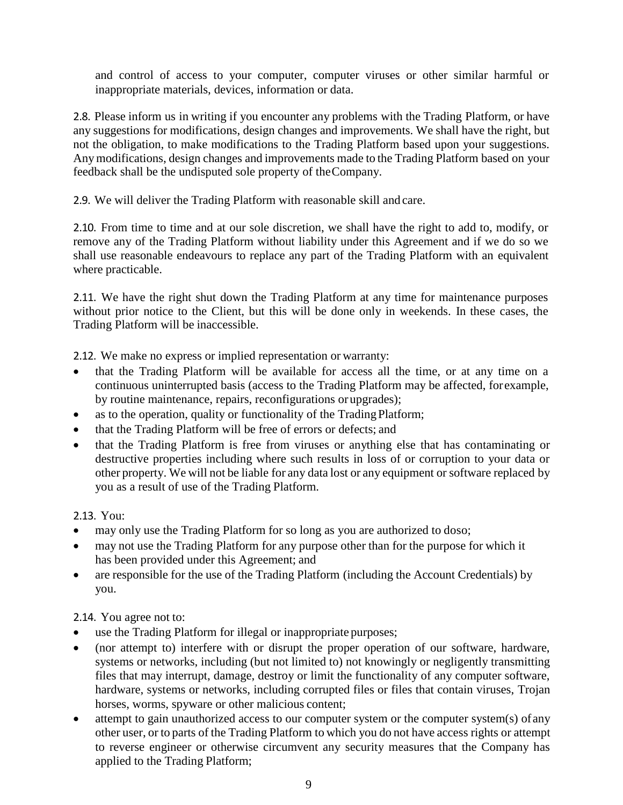and control of access to your computer, computer viruses or other similar harmful or inappropriate materials, devices, information or data.

2.8. Please inform us in writing if you encounter any problems with the Trading Platform, or have any suggestions for modifications, design changes and improvements. We shall have the right, but not the obligation, to make modifications to the Trading Platform based upon your suggestions. Anymodifications, design changes and improvements made to the Trading Platform based on your feedback shall be the undisputed sole property of theCompany.

2.9. We will deliver the Trading Platform with reasonable skill and care.

2.10. From time to time and at our sole discretion, we shall have the right to add to, modify, or remove any of the Trading Platform without liability under this Agreement and if we do so we shall use reasonable endeavours to replace any part of the Trading Platform with an equivalent where practicable.

2.11. We have the right shut down the Trading Platform at any time for maintenance purposes without prior notice to the Client, but this will be done only in weekends. In these cases, the Trading Platform will be inaccessible.

2.12. We make no express or implied representation or warranty:

- that the Trading Platform will be available for access all the time, or at any time on a continuous uninterrupted basis (access to the Trading Platform may be affected, forexample, by routine maintenance, repairs, reconfigurations or upgrades);
- as to the operation, quality or functionality of the Trading Platform;
- that the Trading Platform will be free of errors or defects; and
- that the Trading Platform is free from viruses or anything else that has contaminating or destructive properties including where such results in loss of or corruption to your data or other property. We will not be liable for any data lost or any equipment or software replaced by you as a result of use of the Trading Platform.

2.13. You:

- may only use the Trading Platform for so long as you are authorized to doso;
- may not use the Trading Platform for any purpose other than for the purpose for which it has been provided under this Agreement; and
- are responsible for the use of the Trading Platform (including the Account Credentials) by you.

2.14. You agree not to:

- use the Trading Platform for illegal or inappropriate purposes;
- (nor attempt to) interfere with or disrupt the proper operation of our software, hardware, systems or networks, including (but not limited to) not knowingly or negligently transmitting files that may interrupt, damage, destroy or limit the functionality of any computer software, hardware, systems or networks, including corrupted files or files that contain viruses, Trojan horses, worms, spyware or other malicious content;
- attempt to gain unauthorized access to our computer system or the computer system(s) of any other user, or to parts of the Trading Platform to which you do not have access rights or attempt to reverse engineer or otherwise circumvent any security measures that the Company has applied to the Trading Platform;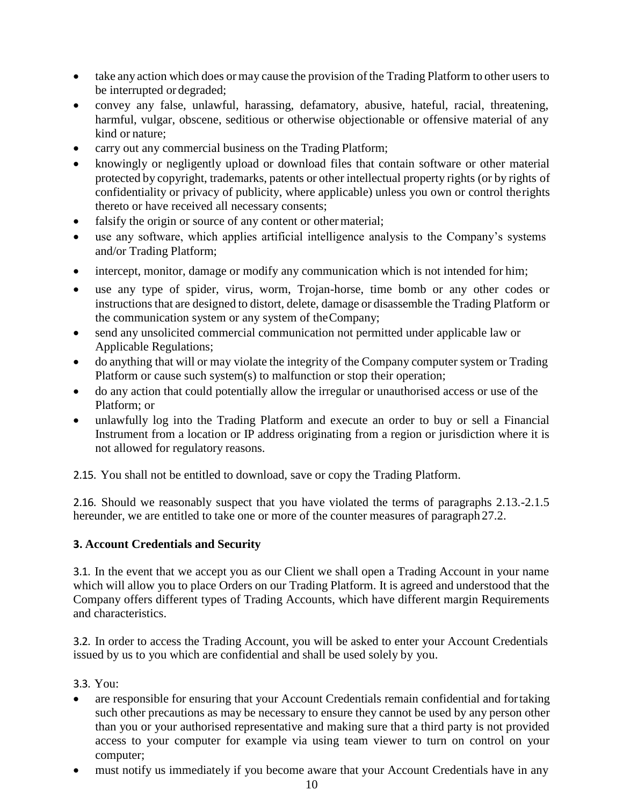- take any action which does or may cause the provision of the Trading Platform to other users to be interrupted or degraded;
- convey any false, unlawful, harassing, defamatory, abusive, hateful, racial, threatening, harmful, vulgar, obscene, seditious or otherwise objectionable or offensive material of any kind or nature;
- carry out any commercial business on the Trading Platform;
- knowingly or negligently upload or download files that contain software or other material protected by copyright, trademarks, patents or other intellectual property rights (or by rights of confidentiality or privacy of publicity, where applicable) unless you own or control therights thereto or have received all necessary consents;
- falsify the origin or source of any content or other material;
- use any software, which applies artificial intelligence analysis to the Company's systems and/or Trading Platform;
- intercept, monitor, damage or modify any communication which is not intended for him;
- use any type of spider, virus, worm, Trojan-horse, time bomb or any other codes or instructions that are designed to distort, delete, damage or disassemble the Trading Platform or the communication system or any system of theCompany;
- send any unsolicited commercial communication not permitted under applicable law or Applicable Regulations;
- do anything that will or may violate the integrity of the Company computer system or Trading Platform or cause such system(s) to malfunction or stop their operation;
- do any action that could potentially allow the irregular or unauthorised access or use of the Platform; or
- unlawfully log into the Trading Platform and execute an order to buy or sell a Financial Instrument from a location or IP address originating from a region or jurisdiction where it is not allowed for regulatory reasons.

2.15. You shall not be entitled to download, save or copy the Trading Platform.

2.16. Should we reasonably suspect that you have violated the terms of paragraphs 2.13.-2.1.5 hereunder, we are entitled to take one or more of the counter measures of paragraph 27.2.

# **3. Account Credentials and Security**

3.1. In the event that we accept you as our Client we shall open a Trading Account in your name which will allow you to place Orders on our Trading Platform. It is agreed and understood that the Company offers different types of Trading Accounts, which have different margin Requirements and characteristics.

3.2. In order to access the Trading Account, you will be asked to enter your Account Credentials issued by us to you which are confidential and shall be used solely by you.

3.3. You:

- are responsible for ensuring that your Account Credentials remain confidential and fortaking such other precautions as may be necessary to ensure they cannot be used by any person other than you or your authorised representative and making sure that a third party is not provided access to your computer for example via using team viewer to turn on control on your computer;
- must notify us immediately if you become aware that your Account Credentials have in any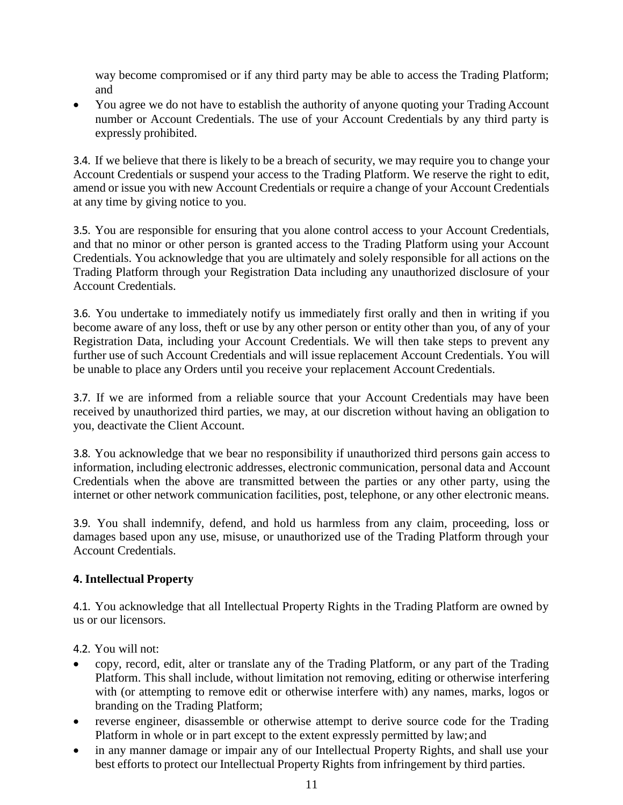way become compromised or if any third party may be able to access the Trading Platform; and

• You agree we do not have to establish the authority of anyone quoting your Trading Account number or Account Credentials. The use of your Account Credentials by any third party is expressly prohibited.

3.4. If we believe that there is likely to be a breach of security, we may require you to change your Account Credentials or suspend your access to the Trading Platform. We reserve the right to edit, amend or issue you with new Account Credentials or require a change of your Account Credentials at any time by giving notice to you.

3.5. You are responsible for ensuring that you alone control access to your Account Credentials, and that no minor or other person is granted access to the Trading Platform using your Account Credentials. You acknowledge that you are ultimately and solely responsible for all actions on the Trading Platform through your Registration Data including any unauthorized disclosure of your Account Credentials.

3.6. You undertake to immediately notify us immediately first orally and then in writing if you become aware of any loss, theft or use by any other person or entity other than you, of any of your Registration Data, including your Account Credentials. We will then take steps to prevent any further use of such Account Credentials and will issue replacement Account Credentials. You will be unable to place any Orders until you receive your replacement Account Credentials.

3.7. If we are informed from a reliable source that your Account Credentials may have been received by unauthorized third parties, we may, at our discretion without having an obligation to you, deactivate the Client Account.

3.8. You acknowledge that we bear no responsibility if unauthorized third persons gain access to information, including electronic addresses, electronic communication, personal data and Account Credentials when the above are transmitted between the parties or any other party, using the internet or other network communication facilities, post, telephone, or any other electronic means.

3.9. You shall indemnify, defend, and hold us harmless from any claim, proceeding, loss or damages based upon any use, misuse, or unauthorized use of the Trading Platform through your Account Credentials.

# **4. Intellectual Property**

4.1. You acknowledge that all Intellectual Property Rights in the Trading Platform are owned by us or our licensors.

4.2. You will not:

- copy, record, edit, alter or translate any of the Trading Platform, or any part of the Trading Platform. This shall include, without limitation not removing, editing or otherwise interfering with (or attempting to remove edit or otherwise interfere with) any names, marks, logos or branding on the Trading Platform;
- reverse engineer, disassemble or otherwise attempt to derive source code for the Trading Platform in whole or in part except to the extent expressly permitted by law;and
- in any manner damage or impair any of our Intellectual Property Rights, and shall use your best efforts to protect our Intellectual Property Rights from infringement by third parties.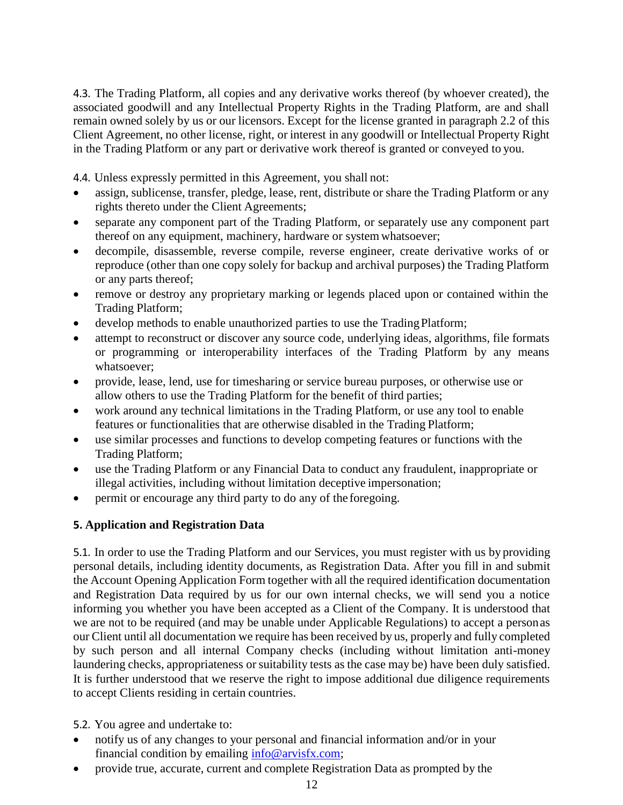4.3. The Trading Platform, all copies and any derivative works thereof (by whoever created), the associated goodwill and any Intellectual Property Rights in the Trading Platform, are and shall remain owned solely by us or our licensors. Except for the license granted in paragraph 2.2 of this Client Agreement, no other license, right, or interest in any goodwill or Intellectual Property Right in the Trading Platform or any part or derivative work thereof is granted or conveyed to you.

4.4. Unless expressly permitted in this Agreement, you shall not:

- assign, sublicense, transfer, pledge, lease, rent, distribute or share the Trading Platform or any rights thereto under the Client Agreements;
- separate any component part of the Trading Platform, or separately use any component part thereof on any equipment, machinery, hardware or systemwhatsoever;
- decompile, disassemble, reverse compile, reverse engineer, create derivative works of or reproduce (other than one copy solely for backup and archival purposes) the Trading Platform or any parts thereof;
- remove or destroy any proprietary marking or legends placed upon or contained within the Trading Platform;
- develop methods to enable unauthorized parties to use the Trading Platform;
- attempt to reconstruct or discover any source code, underlying ideas, algorithms, file formats or programming or interoperability interfaces of the Trading Platform by any means whatsoever;
- provide, lease, lend, use for timesharing or service bureau purposes, or otherwise use or allow others to use the Trading Platform for the benefit of third parties;
- work around any technical limitations in the Trading Platform, or use any tool to enable features or functionalities that are otherwise disabled in the Trading Platform;
- use similar processes and functions to develop competing features or functions with the Trading Platform;
- use the Trading Platform or any Financial Data to conduct any fraudulent, inappropriate or illegal activities, including without limitation deceptive impersonation;
- permit or encourage any third party to do any of the foregoing.

# **5. Application and Registration Data**

5.1. In order to use the Trading Platform and our Services, you must register with us by providing personal details, including identity documents, as Registration Data. After you fill in and submit the Account Opening Application Form together with all the required identification documentation and Registration Data required by us for our own internal checks, we will send you a notice informing you whether you have been accepted as a Client of the Company. It is understood that we are not to be required (and may be unable under Applicable Regulations) to accept a personas our Client until all documentation we require has been received by us, properly and fully completed by such person and all internal Company checks (including without limitation anti-money laundering checks, appropriateness or suitability tests as the case may be) have been duly satisfied. It is further understood that we reserve the right to impose additional due diligence requirements to accept Clients residing in certain countries.

5.2. You agree and undertake to:

- notify us of any changes to your personal and financial information and/or in your financial condition by emailing  $info@arvisfx.com$ ;
- provide true, accurate, current and complete Registration Data as prompted by the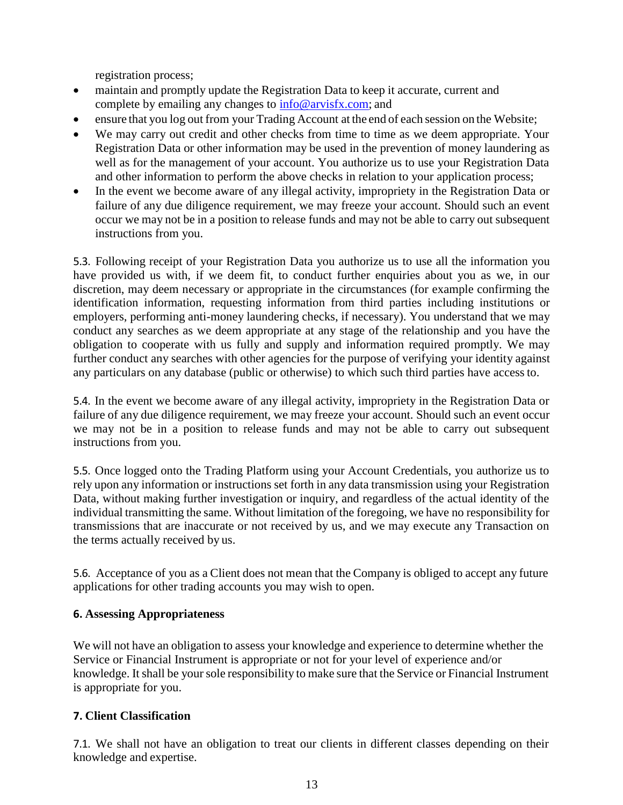registration process;

- maintain and promptly update the Registration Data to keep it accurate, current and complete by emailing any changes to [info@arvisfx.com;](mailto:info@arvisfx.com) and
- ensure that you log out from your Trading Account at the end of each session on the Website;
- We may carry out credit and other checks from time to time as we deem appropriate. Your Registration Data or other information may be used in the prevention of money laundering as well as for the management of your account. You authorize us to use your Registration Data and other information to perform the above checks in relation to your application process;
- In the event we become aware of any illegal activity, impropriety in the Registration Data or failure of any due diligence requirement, we may freeze your account. Should such an event occur we may not be in a position to release funds and may not be able to carry out subsequent instructions from you.

5.3. Following receipt of your Registration Data you authorize us to use all the information you have provided us with, if we deem fit, to conduct further enquiries about you as we, in our discretion, may deem necessary or appropriate in the circumstances (for example confirming the identification information, requesting information from third parties including institutions or employers, performing anti-money laundering checks, if necessary). You understand that we may conduct any searches as we deem appropriate at any stage of the relationship and you have the obligation to cooperate with us fully and supply and information required promptly. We may further conduct any searches with other agencies for the purpose of verifying your identity against any particulars on any database (public or otherwise) to which such third parties have accessto.

5.4. In the event we become aware of any illegal activity, impropriety in the Registration Data or failure of any due diligence requirement, we may freeze your account. Should such an event occur we may not be in a position to release funds and may not be able to carry out subsequent instructions from you.

5.5. Once logged onto the Trading Platform using your Account Credentials, you authorize us to rely upon any information or instructions set forth in any data transmission using your Registration Data, without making further investigation or inquiry, and regardless of the actual identity of the individual transmitting the same. Without limitation of the foregoing, we have no responsibility for transmissions that are inaccurate or not received by us, and we may execute any Transaction on the terms actually received by us.

5.6. Acceptance of you as a Client does not mean that the Company is obliged to accept any future applications for other trading accounts you may wish to open.

#### **6. Assessing Appropriateness**

We will not have an obligation to assess your knowledge and experience to determine whether the Service or Financial Instrument is appropriate or not for your level of experience and/or knowledge. It shall be your sole responsibility to make sure that the Service or Financial Instrument is appropriate for you.

# **7. Client Classification**

7.1. We shall not have an obligation to treat our clients in different classes depending on their knowledge and expertise.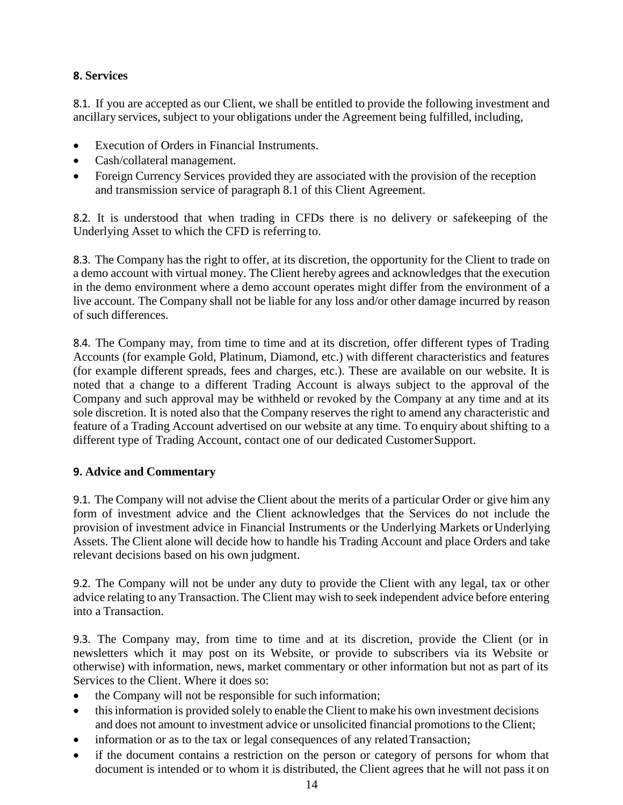# **8. Services**

8.1. If you are accepted as our Client, we shall be entitled to provide the following investment and ancillary services, subject to your obligations under the Agreement being fulfilled, including,

- Execution of Orders in Financial Instruments.
- Cash/collateral management.
- Foreign Currency Services provided they are associated with the provision of the reception and transmission service of paragraph 8.1 of this Client Agreement.

8.2. It is understood that when trading in CFDs there is no delivery or safekeeping of the Underlying Asset to which the CFD is referring to.

8.3. The Company has the right to offer, at its discretion, the opportunity for the Client to trade on a demo account with virtual money. The Client hereby agrees and acknowledges that the execution in the demo environment where a demo account operates might differ from the environment of a live account. The Company shall not be liable for any loss and/or other damage incurred by reason of such differences.

8.4. The Company may, from time to time and at its discretion, offer different types of Trading Accounts (for example Gold, Platinum, Diamond, etc.) with different characteristics and features (for example different spreads, fees and charges, etc.). These are available on our website. It is noted that a change to a different Trading Account is always subject to the approval of the Company and such approval may be withheld or revoked by the Company at any time and at its sole discretion. It is noted also that the Company reserves the right to amend any characteristic and feature of a Trading Account advertised on our website at any time. To enquiry about shifting to a different type of Trading Account, contact one of our dedicated CustomerSupport.

# **9. Advice and Commentary**

9.1. The Company will not advise the Client about the merits of a particular Order or give him any form of investment advice and the Client acknowledges that the Services do not include the provision of investment advice in Financial Instruments or the Underlying Markets orUnderlying Assets. The Client alone will decide how to handle his Trading Account and place Orders and take relevant decisions based on his own judgment.

9.2. The Company will not be under any duty to provide the Client with any legal, tax or other advice relating to anyTransaction. The Client may wish to seek independent advice before entering into a Transaction.

9.3. The Company may, from time to time and at its discretion, provide the Client (or in newsletters which it may post on its Website, or provide to subscribers via its Website or otherwise) with information, news, market commentary or other information but not as part of its Services to the Client. Where it does so:

- the Company will not be responsible for such information;
- this information is provided solely to enable the Client to make his own investment decisions and does not amount to investment advice or unsolicited financial promotions to the Client;
- information or as to the tax or legal consequences of any related Transaction;
- if the document contains a restriction on the person or category of persons for whom that document is intended or to whom it is distributed, the Client agrees that he will not pass it on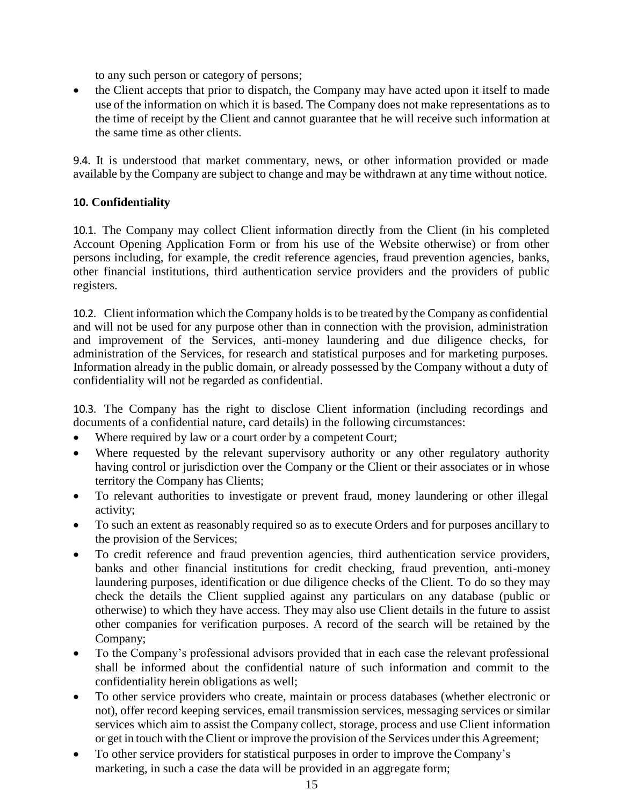to any such person or category of persons;

• the Client accepts that prior to dispatch, the Company may have acted upon it itself to made use of the information on which it is based. The Company does not make representations as to the time of receipt by the Client and cannot guarantee that he will receive such information at the same time as other clients.

9.4. It is understood that market commentary, news, or other information provided or made available by the Company are subject to change and may be withdrawn at any time without notice.

# **10. Confidentiality**

10.1. The Company may collect Client information directly from the Client (in his completed Account Opening Application Form or from his use of the Website otherwise) or from other persons including, for example, the credit reference agencies, fraud prevention agencies, banks, other financial institutions, third authentication service providers and the providers of public registers.

10.2. Client information which the Company holds is to be treated by the Company as confidential and will not be used for any purpose other than in connection with the provision, administration and improvement of the Services, anti-money laundering and due diligence checks, for administration of the Services, for research and statistical purposes and for marketing purposes. Information already in the public domain, or already possessed by the Company without a duty of confidentiality will not be regarded as confidential.

10.3. The Company has the right to disclose Client information (including recordings and documents of a confidential nature, card details) in the following circumstances:

- Where required by law or a court order by a competent Court;
- Where requested by the relevant supervisory authority or any other regulatory authority having control or jurisdiction over the Company or the Client or their associates or in whose territory the Company has Clients;
- To relevant authorities to investigate or prevent fraud, money laundering or other illegal activity;
- To such an extent as reasonably required so as to execute Orders and for purposes ancillary to the provision of the Services;
- To credit reference and fraud prevention agencies, third authentication service providers, banks and other financial institutions for credit checking, fraud prevention, anti-money laundering purposes, identification or due diligence checks of the Client. To do so they may check the details the Client supplied against any particulars on any database (public or otherwise) to which they have access. They may also use Client details in the future to assist other companies for verification purposes. A record of the search will be retained by the Company;
- To the Company's professional advisors provided that in each case the relevant professional shall be informed about the confidential nature of such information and commit to the confidentiality herein obligations as well;
- To other service providers who create, maintain or process databases (whether electronic or not), offer record keeping services, email transmission services, messaging services or similar services which aim to assist the Company collect, storage, process and use Client information or get in touch with the Client or improve the provision of the Services under this Agreement;
- To other service providers for statistical purposes in order to improve the Company's marketing, in such a case the data will be provided in an aggregate form;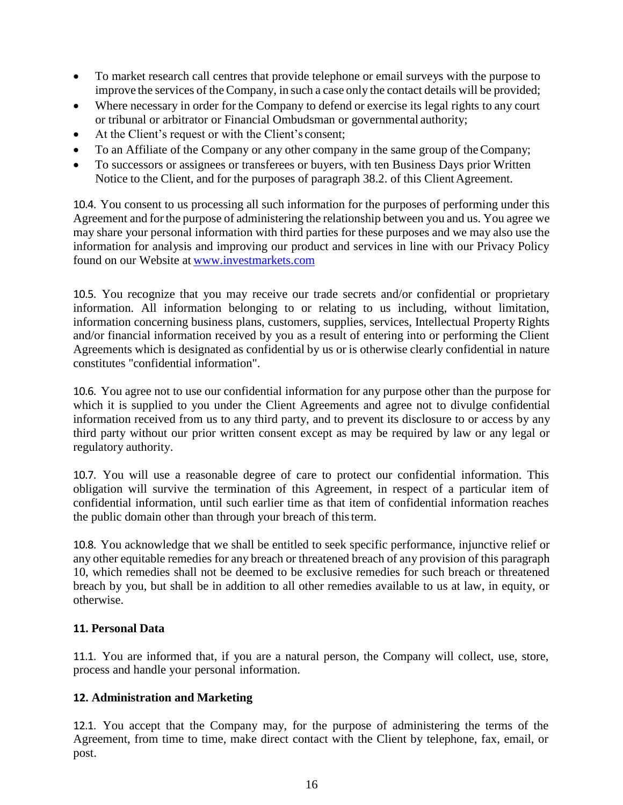- To market research call centres that provide telephone or email surveys with the purpose to improve the services of the Company, in such a case only the contact details will be provided;
- Where necessary in order for the Company to defend or exercise its legal rights to any court or tribunal or arbitrator or Financial Ombudsman or governmental authority;
- At the Client's request or with the Client's consent;
- To an Affiliate of the Company or any other company in the same group of theCompany;
- To successors or assignees or transferees or buyers, with ten Business Days prior Written Notice to the Client, and for the purposes of paragraph 38.2. of this Client Agreement.

10.4. You consent to us processing all such information for the purposes of performing under this Agreement and forthe purpose of administering the relationship between you and us. You agree we may share your personal information with third parties for these purposes and we may also use the information for analysis and improving our product and services in line with our Privacy Policy found on our Website at [www.investmarkets.com](https://www.investmarkets.com/international/)

10.5. You recognize that you may receive our trade secrets and/or confidential or proprietary information. All information belonging to or relating to us including, without limitation, information concerning business plans, customers, supplies, services, Intellectual Property Rights and/or financial information received by you as a result of entering into or performing the Client Agreements which is designated as confidential by us or is otherwise clearly confidential in nature constitutes "confidential information".

10.6. You agree not to use our confidential information for any purpose other than the purpose for which it is supplied to you under the Client Agreements and agree not to divulge confidential information received from us to any third party, and to prevent its disclosure to or access by any third party without our prior written consent except as may be required by law or any legal or regulatory authority.

10.7. You will use a reasonable degree of care to protect our confidential information. This obligation will survive the termination of this Agreement, in respect of a particular item of confidential information, until such earlier time as that item of confidential information reaches the public domain other than through your breach of thisterm.

10.8. You acknowledge that we shall be entitled to seek specific performance, injunctive relief or any other equitable remedies for any breach or threatened breach of any provision of this paragraph 10, which remedies shall not be deemed to be exclusive remedies for such breach or threatened breach by you, but shall be in addition to all other remedies available to us at law, in equity, or otherwise.

# **11. Personal Data**

11.1. You are informed that, if you are a natural person, the Company will collect, use, store, process and handle your personal information.

# **12. Administration and Marketing**

12.1. You accept that the Company may, for the purpose of administering the terms of the Agreement, from time to time, make direct contact with the Client by telephone, fax, email, or post.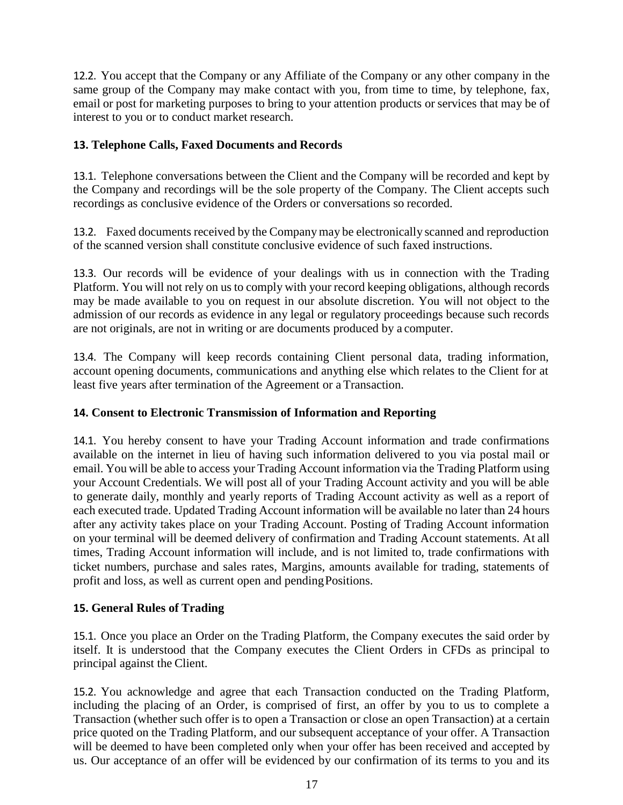12.2. You accept that the Company or any Affiliate of the Company or any other company in the same group of the Company may make contact with you, from time to time, by telephone, fax, email or post for marketing purposes to bring to your attention products or services that may be of interest to you or to conduct market research.

# **13. Telephone Calls, Faxed Documents and Records**

13.1. Telephone conversations between the Client and the Company will be recorded and kept by the Company and recordings will be the sole property of the Company. The Client accepts such recordings as conclusive evidence of the Orders or conversations so recorded.

13.2. Faxed documents received by the Companymay be electronically scanned and reproduction of the scanned version shall constitute conclusive evidence of such faxed instructions.

13.3. Our records will be evidence of your dealings with us in connection with the Trading Platform. You will not rely on us to comply with your record keeping obligations, although records may be made available to you on request in our absolute discretion. You will not object to the admission of our records as evidence in any legal or regulatory proceedings because such records are not originals, are not in writing or are documents produced by a computer.

13.4. The Company will keep records containing Client personal data, trading information, account opening documents, communications and anything else which relates to the Client for at least five years after termination of the Agreement or a Transaction.

# **14. Consent to Electronic Transmission of Information and Reporting**

14.1. You hereby consent to have your Trading Account information and trade confirmations available on the internet in lieu of having such information delivered to you via postal mail or email. You will be able to access your Trading Account information via the Trading Platform using your Account Credentials. We will post all of your Trading Account activity and you will be able to generate daily, monthly and yearly reports of Trading Account activity as well as a report of each executed trade. Updated Trading Account information will be available no later than 24 hours after any activity takes place on your Trading Account. Posting of Trading Account information on your terminal will be deemed delivery of confirmation and Trading Account statements. At all times, Trading Account information will include, and is not limited to, trade confirmations with ticket numbers, purchase and sales rates, Margins, amounts available for trading, statements of profit and loss, as well as current open and pendingPositions.

# **15. General Rules of Trading**

15.1. Once you place an Order on the Trading Platform, the Company executes the said order by itself. It is understood that the Company executes the Client Orders in CFDs as principal to principal against the Client.

15.2. You acknowledge and agree that each Transaction conducted on the Trading Platform, including the placing of an Order, is comprised of first, an offer by you to us to complete a Transaction (whether such offer is to open a Transaction or close an open Transaction) at a certain price quoted on the Trading Platform, and our subsequent acceptance of your offer. A Transaction will be deemed to have been completed only when your offer has been received and accepted by us. Our acceptance of an offer will be evidenced by our confirmation of its terms to you and its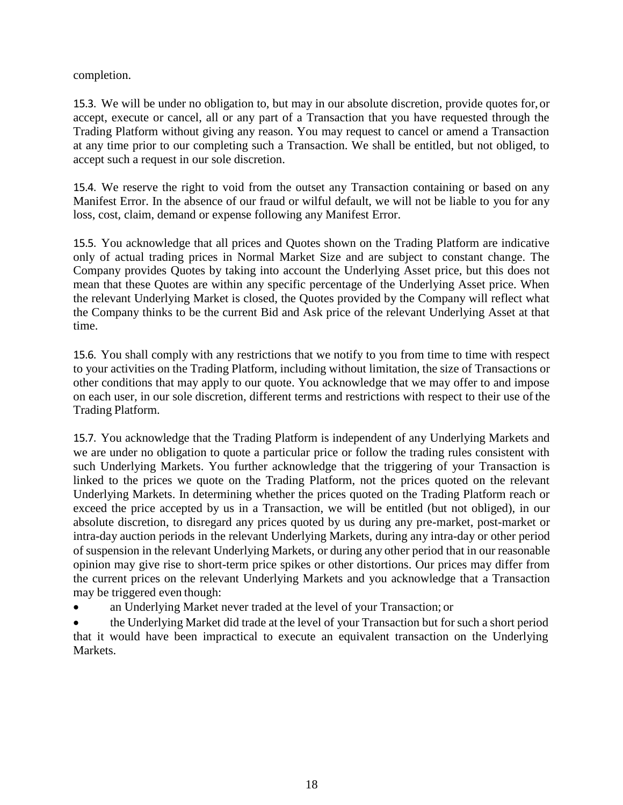completion.

15.3. We will be under no obligation to, but may in our absolute discretion, provide quotes for, or accept, execute or cancel, all or any part of a Transaction that you have requested through the Trading Platform without giving any reason. You may request to cancel or amend a Transaction at any time prior to our completing such a Transaction. We shall be entitled, but not obliged, to accept such a request in our sole discretion.

15.4. We reserve the right to void from the outset any Transaction containing or based on any Manifest Error. In the absence of our fraud or wilful default, we will not be liable to you for any loss, cost, claim, demand or expense following any Manifest Error.

15.5. You acknowledge that all prices and Quotes shown on the Trading Platform are indicative only of actual trading prices in Normal Market Size and are subject to constant change. The Company provides Quotes by taking into account the Underlying Asset price, but this does not mean that these Quotes are within any specific percentage of the Underlying Asset price. When the relevant Underlying Market is closed, the Quotes provided by the Company will reflect what the Company thinks to be the current Bid and Ask price of the relevant Underlying Asset at that time.

15.6. You shall comply with any restrictions that we notify to you from time to time with respect to your activities on the Trading Platform, including without limitation, the size of Transactions or other conditions that may apply to our quote. You acknowledge that we may offer to and impose on each user, in our sole discretion, different terms and restrictions with respect to their use of the Trading Platform.

15.7. You acknowledge that the Trading Platform is independent of any Underlying Markets and we are under no obligation to quote a particular price or follow the trading rules consistent with such Underlying Markets. You further acknowledge that the triggering of your Transaction is linked to the prices we quote on the Trading Platform, not the prices quoted on the relevant Underlying Markets. In determining whether the prices quoted on the Trading Platform reach or exceed the price accepted by us in a Transaction, we will be entitled (but not obliged), in our absolute discretion, to disregard any prices quoted by us during any pre-market, post-market or intra-day auction periods in the relevant Underlying Markets, during any intra-day or other period of suspension in the relevant Underlying Markets, or during any other period that in our reasonable opinion may give rise to short-term price spikes or other distortions. Our prices may differ from the current prices on the relevant Underlying Markets and you acknowledge that a Transaction may be triggered even though:

• an Underlying Market never traded at the level of your Transaction; or

the Underlying Market did trade at the level of your Transaction but for such a short period that it would have been impractical to execute an equivalent transaction on the Underlying Markets.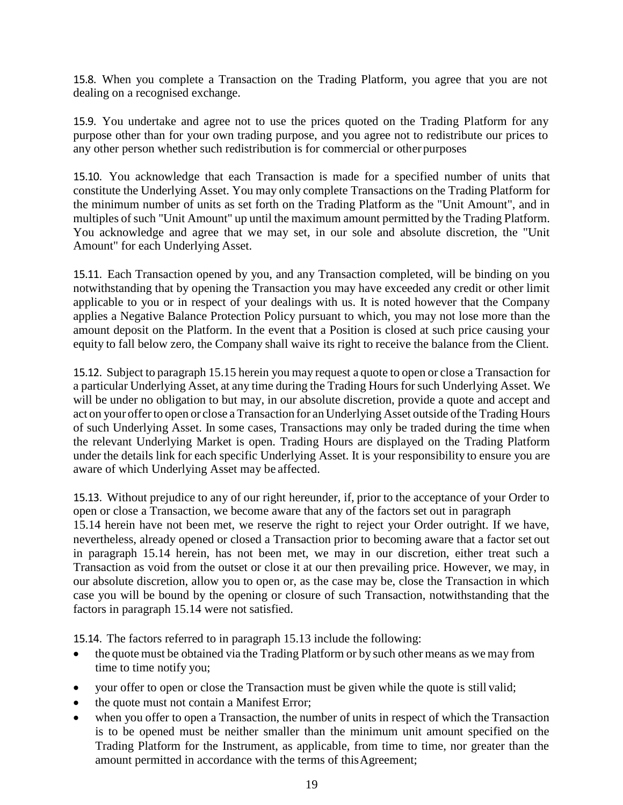15.8. When you complete a Transaction on the Trading Platform, you agree that you are not dealing on a recognised exchange.

15.9. You undertake and agree not to use the prices quoted on the Trading Platform for any purpose other than for your own trading purpose, and you agree not to redistribute our prices to any other person whether such redistribution is for commercial or other purposes

15.10. You acknowledge that each Transaction is made for a specified number of units that constitute the Underlying Asset. You may only complete Transactions on the Trading Platform for the minimum number of units as set forth on the Trading Platform as the "Unit Amount", and in multiples of such "Unit Amount" up until the maximum amount permitted by the Trading Platform. You acknowledge and agree that we may set, in our sole and absolute discretion, the "Unit Amount" for each Underlying Asset.

15.11. Each Transaction opened by you, and any Transaction completed, will be binding on you notwithstanding that by opening the Transaction you may have exceeded any credit or other limit applicable to you or in respect of your dealings with us. It is noted however that the Company applies a Negative Balance Protection Policy pursuant to which, you may not lose more than the amount deposit on the Platform. In the event that a Position is closed at such price causing your equity to fall below zero, the Company shall waive its right to receive the balance from the Client.

15.12. Subject to paragraph 15.15 herein you may request a quote to open or close a Transaction for a particular Underlying Asset, at any time during the Trading Hours forsuch Underlying Asset. We will be under no obligation to but may, in our absolute discretion, provide a quote and accept and act on your offerto open or close a Transaction for an Underlying Asset outside ofthe Trading Hours of such Underlying Asset. In some cases, Transactions may only be traded during the time when the relevant Underlying Market is open. Trading Hours are displayed on the Trading Platform under the details link for each specific Underlying Asset. It is your responsibility to ensure you are aware of which Underlying Asset may be affected.

15.13. Without prejudice to any of our right hereunder, if, prior to the acceptance of your Order to open or close a Transaction, we become aware that any of the factors set out in paragraph 15.14 herein have not been met, we reserve the right to reject your Order outright. If we have, nevertheless, already opened or closed a Transaction prior to becoming aware that a factor set out in paragraph 15.14 herein, has not been met, we may in our discretion, either treat such a Transaction as void from the outset or close it at our then prevailing price. However, we may, in our absolute discretion, allow you to open or, as the case may be, close the Transaction in which case you will be bound by the opening or closure of such Transaction, notwithstanding that the factors in paragraph 15.14 were not satisfied.

15.14. The factors referred to in paragraph 15.13 include the following:

- the quote must be obtained via the Trading Platform or by such other means as we may from time to time notify you;
- your offer to open or close the Transaction must be given while the quote is still valid;
- the quote must not contain a Manifest Error;
- when you offer to open a Transaction, the number of units in respect of which the Transaction is to be opened must be neither smaller than the minimum unit amount specified on the Trading Platform for the Instrument, as applicable, from time to time, nor greater than the amount permitted in accordance with the terms of this Agreement;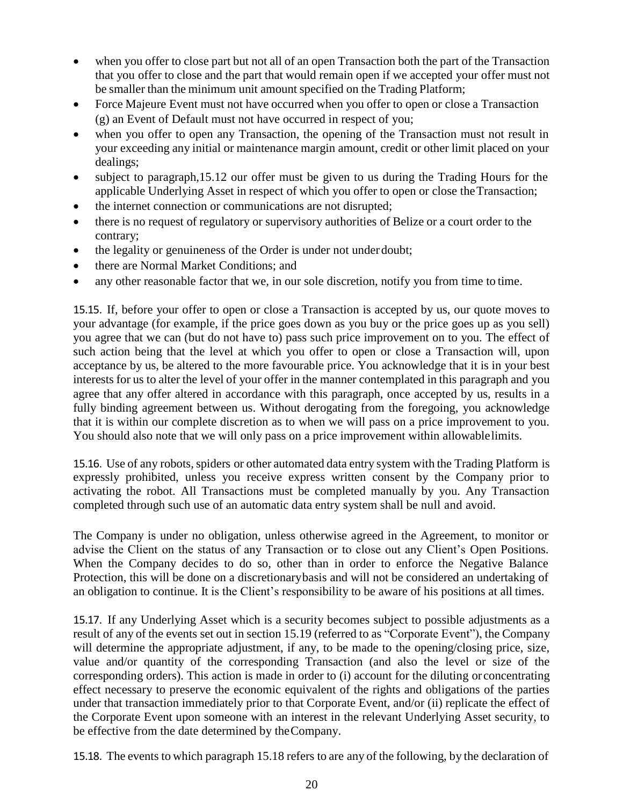- when you offer to close part but not all of an open Transaction both the part of the Transaction that you offer to close and the part that would remain open if we accepted your offer must not be smaller than the minimum unit amount specified on the Trading Platform;
- Force Majeure Event must not have occurred when you offer to open or close a Transaction (g) an Event of Default must not have occurred in respect of you;
- when you offer to open any Transaction, the opening of the Transaction must not result in your exceeding any initial or maintenance margin amount, credit or other limit placed on your dealings;
- subject to paragraph, 15.12 our offer must be given to us during the Trading Hours for the applicable Underlying Asset in respect of which you offer to open or close theTransaction;
- the internet connection or communications are not disrupted;
- there is no request of regulatory or supervisory authorities of Belize or a court order to the contrary;
- the legality or genuineness of the Order is under not underdoubt;
- there are Normal Market Conditions; and
- any other reasonable factor that we, in our sole discretion, notify you from time to time.

15.15. If, before your offer to open or close a Transaction is accepted by us, our quote moves to your advantage (for example, if the price goes down as you buy or the price goes up as you sell) you agree that we can (but do not have to) pass such price improvement on to you. The effect of such action being that the level at which you offer to open or close a Transaction will, upon acceptance by us, be altered to the more favourable price. You acknowledge that it is in your best interests for us to alter the level of your offer in the manner contemplated in this paragraph and you agree that any offer altered in accordance with this paragraph, once accepted by us, results in a fully binding agreement between us. Without derogating from the foregoing, you acknowledge that it is within our complete discretion as to when we will pass on a price improvement to you. You should also note that we will only pass on a price improvement within allowablelimits.

15.16. Use of any robots, spiders or other automated data entry system with the Trading Platform is expressly prohibited, unless you receive express written consent by the Company prior to activating the robot. All Transactions must be completed manually by you. Any Transaction completed through such use of an automatic data entry system shall be null and avoid.

The Company is under no obligation, unless otherwise agreed in the Agreement, to monitor or advise the Client on the status of any Transaction or to close out any Client's Open Positions. When the Company decides to do so, other than in order to enforce the Negative Balance Protection, this will be done on a discretionarybasis and will not be considered an undertaking of an obligation to continue. It is the Client's responsibility to be aware of his positions at all times.

15.17. If any Underlying Asset which is a security becomes subject to possible adjustments as a result of any of the events set out in section 15.19 (referred to as "Corporate Event"), the Company will determine the appropriate adjustment, if any, to be made to the opening/closing price, size, value and/or quantity of the corresponding Transaction (and also the level or size of the corresponding orders). This action is made in order to (i) account for the diluting or concentrating effect necessary to preserve the economic equivalent of the rights and obligations of the parties under that transaction immediately prior to that Corporate Event, and/or (ii) replicate the effect of the Corporate Event upon someone with an interest in the relevant Underlying Asset security, to be effective from the date determined by theCompany.

15.18. The events to which paragraph 15.18 refers to are any of the following, by the declaration of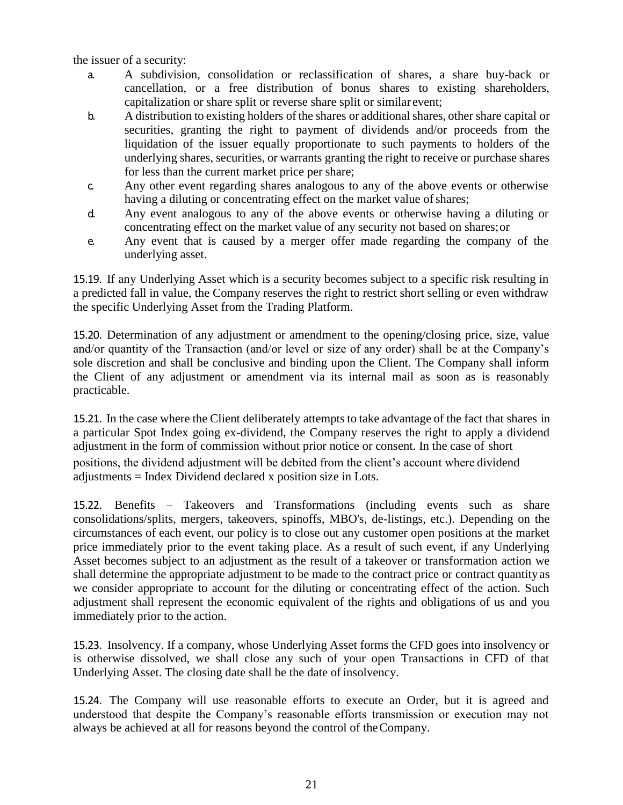the issuer of a security:

- a. A subdivision, consolidation or reclassification of shares, a share buy-back or cancellation, or a free distribution of bonus shares to existing shareholders, capitalization or share split or reverse share split or similar event;
- b. A distribution to existing holders of the shares or additionalshares, other share capital or securities, granting the right to payment of dividends and/or proceeds from the liquidation of the issuer equally proportionate to such payments to holders of the underlying shares, securities, or warrants granting the right to receive or purchase shares for less than the current market price per share;
- c. Any other event regarding shares analogous to any of the above events or otherwise having a diluting or concentrating effect on the market value of shares;
- d. Any event analogous to any of the above events or otherwise having a diluting or concentrating effect on the market value of any security not based on shares;or
- e. Any event that is caused by a merger offer made regarding the company of the underlying asset.

15.19. If any Underlying Asset which is a security becomes subject to a specific risk resulting in a predicted fall in value, the Company reserves the right to restrict short selling or even withdraw the specific Underlying Asset from the Trading Platform.

15.20. Determination of any adjustment or amendment to the opening/closing price, size, value and/or quantity of the Transaction (and/or level or size of any order) shall be at the Company's sole discretion and shall be conclusive and binding upon the Client. The Company shall inform the Client of any adjustment or amendment via its internal mail as soon as is reasonably practicable.

15.21. In the case where the Client deliberately attempts to take advantage of the fact that shares in a particular Spot Index going ex-dividend, the Company reserves the right to apply a dividend adjustment in the form of commission without prior notice or consent. In the case of short positions, the dividend adjustment will be debited from the client's account where dividend adjustments = Index Dividend declared x position size in Lots.

15.22. Benefits – Takeovers and Transformations (including events such as share consolidations/splits, mergers, takeovers, spinoffs, MBO's, de-listings, etc.). Depending on the circumstances of each event, our policy is to close out any customer open positions at the market price immediately prior to the event taking place. As a result of such event, if any Underlying Asset becomes subject to an adjustment as the result of a takeover or transformation action we shall determine the appropriate adjustment to be made to the contract price or contract quantity as we consider appropriate to account for the diluting or concentrating effect of the action. Such adjustment shall represent the economic equivalent of the rights and obligations of us and you immediately prior to the action.

15.23. Insolvency. If a company, whose Underlying Asset forms the CFD goes into insolvency or is otherwise dissolved, we shall close any such of your open Transactions in CFD of that Underlying Asset. The closing date shall be the date of insolvency.

15.24. The Company will use reasonable efforts to execute an Order, but it is agreed and understood that despite the Company's reasonable efforts transmission or execution may not always be achieved at all for reasons beyond the control of theCompany.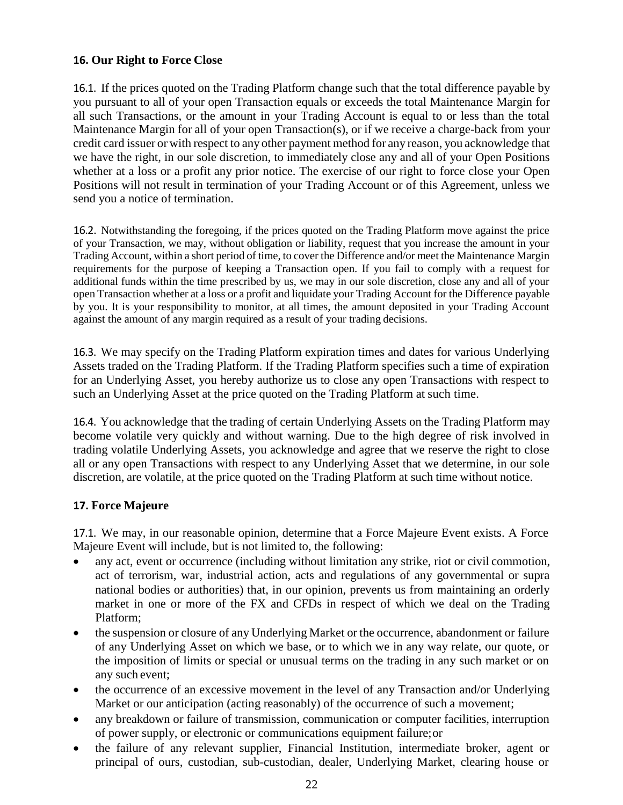### **16. Our Right to Force Close**

16.1. If the prices quoted on the Trading Platform change such that the total difference payable by you pursuant to all of your open Transaction equals or exceeds the total Maintenance Margin for all such Transactions, or the amount in your Trading Account is equal to or less than the total Maintenance Margin for all of your open Transaction(s), or if we receive a charge-back from your credit card issuer or with respect to any other payment method for any reason, you acknowledge that we have the right, in our sole discretion, to immediately close any and all of your Open Positions whether at a loss or a profit any prior notice. The exercise of our right to force close your Open Positions will not result in termination of your Trading Account or of this Agreement, unless we send you a notice of termination.

16.2. Notwithstanding the foregoing, if the prices quoted on the Trading Platform move against the price of your Transaction, we may, without obligation or liability, request that you increase the amount in your Trading Account, within a short period of time, to cover the Difference and/or meet the Maintenance Margin requirements for the purpose of keeping a Transaction open. If you fail to comply with a request for additional funds within the time prescribed by us, we may in our sole discretion, close any and all of your open Transaction whether at a loss or a profit and liquidate your Trading Account for the Difference payable by you. It is your responsibility to monitor, at all times, the amount deposited in your Trading Account against the amount of any margin required as a result of your trading decisions.

16.3. We may specify on the Trading Platform expiration times and dates for various Underlying Assets traded on the Trading Platform. If the Trading Platform specifies such a time of expiration for an Underlying Asset, you hereby authorize us to close any open Transactions with respect to such an Underlying Asset at the price quoted on the Trading Platform at such time.

16.4. You acknowledge that the trading of certain Underlying Assets on the Trading Platform may become volatile very quickly and without warning. Due to the high degree of risk involved in trading volatile Underlying Assets, you acknowledge and agree that we reserve the right to close all or any open Transactions with respect to any Underlying Asset that we determine, in our sole discretion, are volatile, at the price quoted on the Trading Platform at such time without notice.

# **17. Force Majeure**

17.1. We may, in our reasonable opinion, determine that a Force Majeure Event exists. A Force Majeure Event will include, but is not limited to, the following:

- any act, event or occurrence (including without limitation any strike, riot or civil commotion, act of terrorism, war, industrial action, acts and regulations of any governmental or supra national bodies or authorities) that, in our opinion, prevents us from maintaining an orderly market in one or more of the FX and CFDs in respect of which we deal on the Trading Platform;
- the suspension or closure of any Underlying Market or the occurrence, abandonment or failure of any Underlying Asset on which we base, or to which we in any way relate, our quote, or the imposition of limits or special or unusual terms on the trading in any such market or on any such event;
- the occurrence of an excessive movement in the level of any Transaction and/or Underlying Market or our anticipation (acting reasonably) of the occurrence of such a movement;
- any breakdown or failure of transmission, communication or computer facilities, interruption of power supply, or electronic or communications equipment failure;or
- the failure of any relevant supplier, Financial Institution, intermediate broker, agent or principal of ours, custodian, sub-custodian, dealer, Underlying Market, clearing house or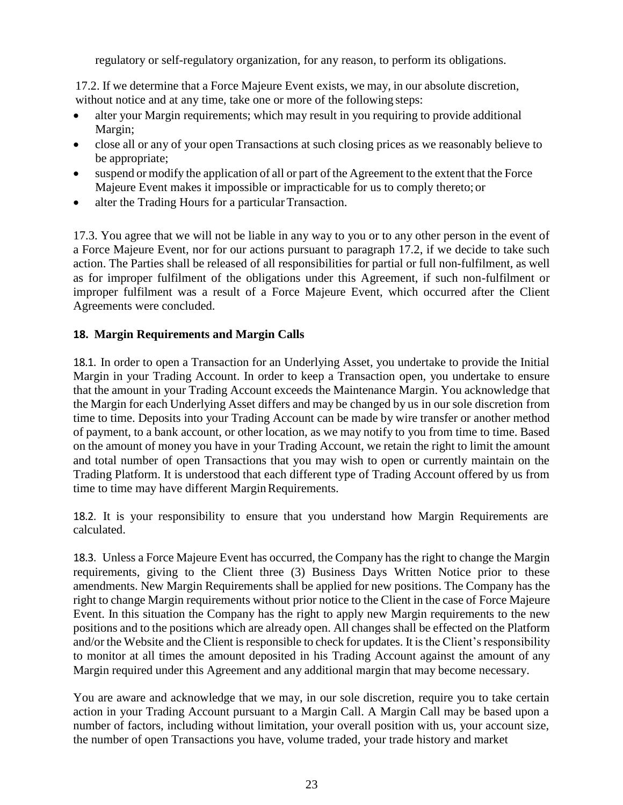regulatory or self-regulatory organization, for any reason, to perform its obligations.

17.2. If we determine that a Force Majeure Event exists, we may, in our absolute discretion, without notice and at any time, take one or more of the following steps:

- alter your Margin requirements; which may result in you requiring to provide additional Margin;
- close all or any of your open Transactions at such closing prices as we reasonably believe to be appropriate;
- suspend or modify the application of all or part of the Agreement to the extent that the Force Majeure Event makes it impossible or impracticable for us to comply thereto; or
- alter the Trading Hours for a particular Transaction.

17.3. You agree that we will not be liable in any way to you or to any other person in the event of a Force Majeure Event, nor for our actions pursuant to paragraph 17.2, if we decide to take such action. The Parties shall be released of all responsibilities for partial or full non-fulfilment, as well as for improper fulfilment of the obligations under this Agreement, if such non-fulfilment or improper fulfilment was a result of a Force Majeure Event, which occurred after the Client Agreements were concluded.

# **18. Margin Requirements and Margin Calls**

18.1. In order to open a Transaction for an Underlying Asset, you undertake to provide the Initial Margin in your Trading Account. In order to keep a Transaction open, you undertake to ensure that the amount in your Trading Account exceeds the Maintenance Margin. You acknowledge that the Margin for each Underlying Asset differs and may be changed by us in our sole discretion from time to time. Deposits into your Trading Account can be made by wire transfer or another method of payment, to a bank account, or other location, as we may notify to you from time to time. Based on the amount of money you have in your Trading Account, we retain the right to limit the amount and total number of open Transactions that you may wish to open or currently maintain on the Trading Platform. It is understood that each different type of Trading Account offered by us from time to time may have different Margin Requirements.

18.2. It is your responsibility to ensure that you understand how Margin Requirements are calculated.

18.3. Unless a Force Majeure Event has occurred, the Company has the right to change the Margin requirements, giving to the Client three (3) Business Days Written Notice prior to these amendments. New Margin Requirements shall be applied for new positions. The Company has the right to change Margin requirements without prior notice to the Client in the case of Force Majeure Event. In this situation the Company has the right to apply new Margin requirements to the new positions and to the positions which are already open. All changes shall be effected on the Platform and/or the Website and the Client is responsible to check for updates. It is the Client's responsibility to monitor at all times the amount deposited in his Trading Account against the amount of any Margin required under this Agreement and any additional margin that may become necessary.

You are aware and acknowledge that we may, in our sole discretion, require you to take certain action in your Trading Account pursuant to a Margin Call. A Margin Call may be based upon a number of factors, including without limitation, your overall position with us, your account size, the number of open Transactions you have, volume traded, your trade history and market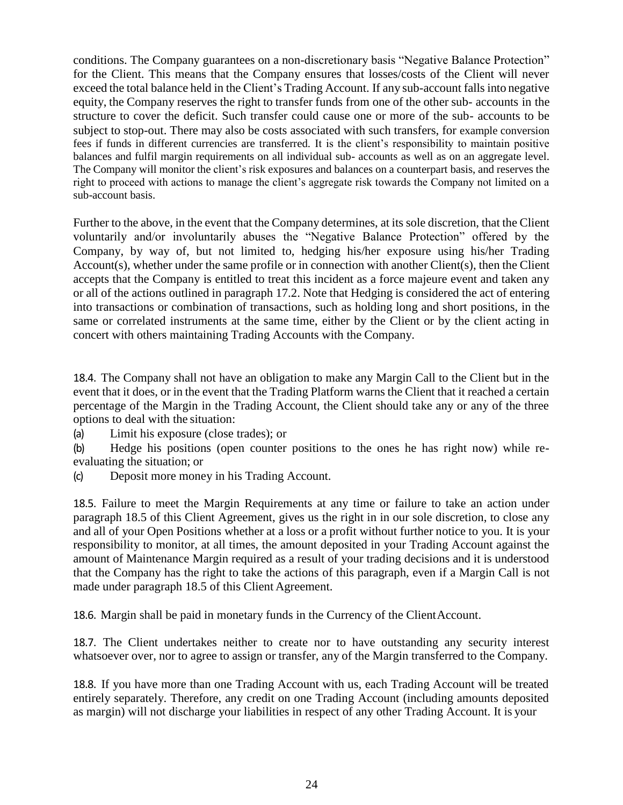conditions. The Company guarantees on a non-discretionary basis "Negative Balance Protection" for the Client. This means that the Company ensures that losses/costs of the Client will never exceed the total balance held in the Client's Trading Account. If any sub-account falls into negative equity, the Company reserves the right to transfer funds from one of the other sub- accounts in the structure to cover the deficit. Such transfer could cause one or more of the sub- accounts to be subject to stop-out. There may also be costs associated with such transfers, for example conversion fees if funds in different currencies are transferred. It is the client's responsibility to maintain positive balances and fulfil margin requirements on all individual sub- accounts as well as on an aggregate level. The Company will monitor the client's risk exposures and balances on a counterpart basis, and reserves the right to proceed with actions to manage the client's aggregate risk towards the Company not limited on a sub-account basis.

Further to the above, in the event that the Company determines, at its sole discretion, that the Client voluntarily and/or involuntarily abuses the "Negative Balance Protection" offered by the Company, by way of, but not limited to, hedging his/her exposure using his/her Trading Account(s), whether under the same profile or in connection with another Client(s), then the Client accepts that the Company is entitled to treat this incident as a force majeure event and taken any or all of the actions outlined in paragraph 17.2. Note that Hedging is considered the act of entering into transactions or combination of transactions, such as holding long and short positions, in the same or correlated instruments at the same time, either by the Client or by the client acting in concert with others maintaining Trading Accounts with the Company.

18.4. The Company shall not have an obligation to make any Margin Call to the Client but in the event that it does, or in the event that the Trading Platform warns the Client that it reached a certain percentage of the Margin in the Trading Account, the Client should take any or any of the three options to deal with the situation:

(a) Limit his exposure (close trades); or

(b) Hedge his positions (open counter positions to the ones he has right now) while reevaluating the situation; or

(c) Deposit more money in his Trading Account.

18.5. Failure to meet the Margin Requirements at any time or failure to take an action under paragraph 18.5 of this Client Agreement, gives us the right in in our sole discretion, to close any and all of your Open Positions whether at a loss or a profit without further notice to you. It is your responsibility to monitor, at all times, the amount deposited in your Trading Account against the amount of Maintenance Margin required as a result of your trading decisions and it is understood that the Company has the right to take the actions of this paragraph, even if a Margin Call is not made under paragraph 18.5 of this Client Agreement.

18.6. Margin shall be paid in monetary funds in the Currency of the ClientAccount.

18.7. The Client undertakes neither to create nor to have outstanding any security interest whatsoever over, nor to agree to assign or transfer, any of the Margin transferred to the Company.

18.8. If you have more than one Trading Account with us, each Trading Account will be treated entirely separately. Therefore, any credit on one Trading Account (including amounts deposited as margin) will not discharge your liabilities in respect of any other Trading Account. It is your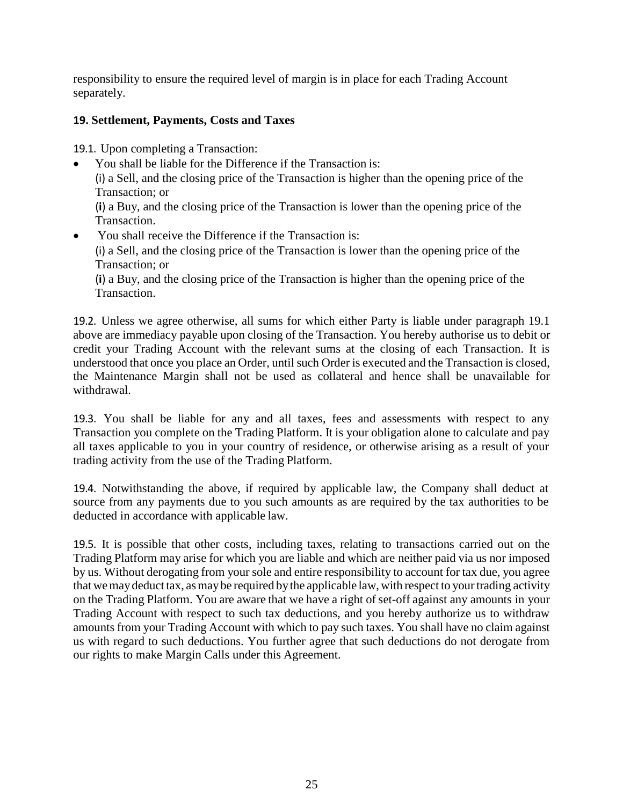responsibility to ensure the required level of margin is in place for each Trading Account separately.

# **19. Settlement, Payments, Costs and Taxes**

19.1. Upon completing a Transaction:

- You shall be liable for the Difference if the Transaction is: (i) a Sell, and the closing price of the Transaction is higher than the opening price of the Transaction; or (**i**) a Buy, and the closing price of the Transaction is lower than the opening price of the
- Transaction. • You shall receive the Difference if the Transaction is: (i) a Sell, and the closing price of the Transaction is lower than the opening price of the Transaction; or

(**i**) a Buy, and the closing price of the Transaction is higher than the opening price of the Transaction.

19.2. Unless we agree otherwise, all sums for which either Party is liable under paragraph 19.1 above are immediacy payable upon closing of the Transaction. You hereby authorise us to debit or credit your Trading Account with the relevant sums at the closing of each Transaction. It is understood that once you place an Order, until such Order is executed and the Transaction is closed, the Maintenance Margin shall not be used as collateral and hence shall be unavailable for withdrawal.

19.3. You shall be liable for any and all taxes, fees and assessments with respect to any Transaction you complete on the Trading Platform. It is your obligation alone to calculate and pay all taxes applicable to you in your country of residence, or otherwise arising as a result of your trading activity from the use of the Trading Platform.

19.4. Notwithstanding the above, if required by applicable law, the Company shall deduct at source from any payments due to you such amounts as are required by the tax authorities to be deducted in accordance with applicable law.

19.5. It is possible that other costs, including taxes, relating to transactions carried out on the Trading Platform may arise for which you are liable and which are neither paid via us nor imposed by us. Without derogating from your sole and entire responsibility to account for tax due, you agree that we may deduct tax, as may be required by the applicable law, with respect to your trading activity on the Trading Platform. You are aware that we have a right of set-off against any amounts in your Trading Account with respect to such tax deductions, and you hereby authorize us to withdraw amounts from your Trading Account with which to pay such taxes. You shall have no claim against us with regard to such deductions. You further agree that such deductions do not derogate from our rights to make Margin Calls under this Agreement.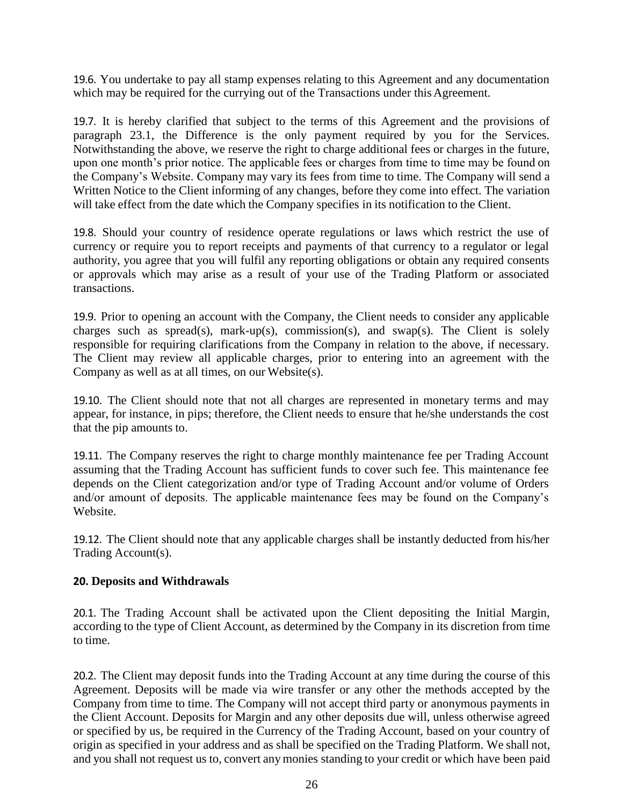19.6. You undertake to pay all stamp expenses relating to this Agreement and any documentation which may be required for the currying out of the Transactions under this Agreement.

19.7. It is hereby clarified that subject to the terms of this Agreement and the provisions of paragraph 23.1, the Difference is the only payment required by you for the Services. Notwithstanding the above, we reserve the right to charge additional fees or charges in the future, upon one month's prior notice. The applicable fees or charges from time to time may be found on the Company's Website. Company may vary its fees from time to time. The Company will send a Written Notice to the Client informing of any changes, before they come into effect. The variation will take effect from the date which the Company specifies in its notification to the Client.

19.8. Should your country of residence operate regulations or laws which restrict the use of currency or require you to report receipts and payments of that currency to a regulator or legal authority, you agree that you will fulfil any reporting obligations or obtain any required consents or approvals which may arise as a result of your use of the Trading Platform or associated transactions.

19.9. Prior to opening an account with the Company, the Client needs to consider any applicable charges such as spread(s), mark-up(s), commission(s), and swap(s). The Client is solely responsible for requiring clarifications from the Company in relation to the above, if necessary. The Client may review all applicable charges, prior to entering into an agreement with the Company as well as at all times, on our Website(s).

19.10. The Client should note that not all charges are represented in monetary terms and may appear, for instance, in pips; therefore, the Client needs to ensure that he/she understands the cost that the pip amounts to.

19.11. The Company reserves the right to charge monthly maintenance fee per Trading Account assuming that the Trading Account has sufficient funds to cover such fee. This maintenance fee depends on the Client categorization and/or type of Trading Account and/or volume of Orders and/or amount of deposits. The applicable maintenance fees may be found on the Company's Website.

19.12. The Client should note that any applicable charges shall be instantly deducted from his/her Trading Account(s).

# **20. Deposits and Withdrawals**

20.1. The Trading Account shall be activated upon the Client depositing the Initial Margin, according to the type of Client Account, as determined by the Company in its discretion from time to time.

20.2. The Client may deposit funds into the Trading Account at any time during the course of this Agreement. Deposits will be made via wire transfer or any other the methods accepted by the Company from time to time. The Company will not accept third party or anonymous payments in the Client Account. Deposits for Margin and any other deposits due will, unless otherwise agreed or specified by us, be required in the Currency of the Trading Account, based on your country of origin as specified in your address and as shall be specified on the Trading Platform. We shall not, and you shall not request us to, convert any monies standing to your credit or which have been paid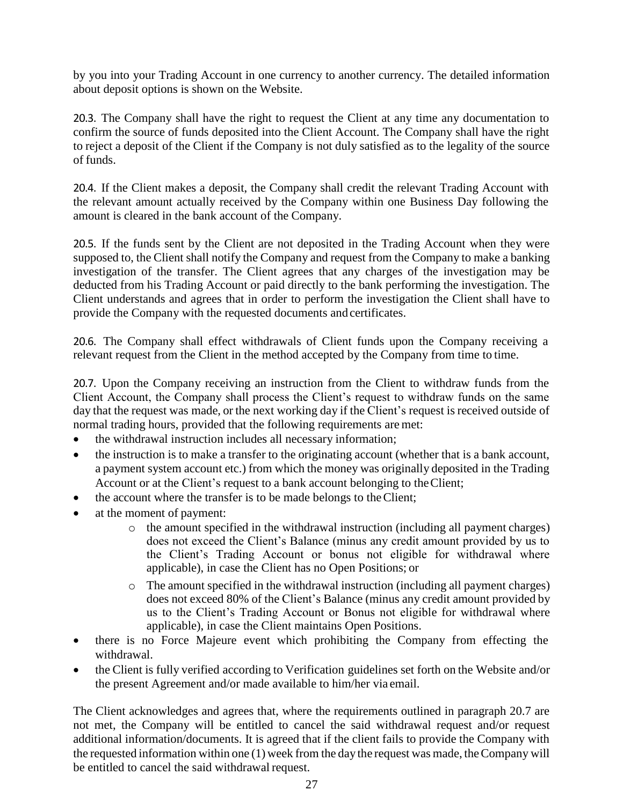by you into your Trading Account in one currency to another currency. The detailed information about deposit options is shown on the Website.

20.3. The Company shall have the right to request the Client at any time any documentation to confirm the source of funds deposited into the Client Account. The Company shall have the right to reject a deposit of the Client if the Company is not duly satisfied as to the legality of the source of funds.

20.4. If the Client makes a deposit, the Company shall credit the relevant Trading Account with the relevant amount actually received by the Company within one Business Day following the amount is cleared in the bank account of the Company.

20.5. If the funds sent by the Client are not deposited in the Trading Account when they were supposed to, the Client shall notify the Company and request from the Company to make a banking investigation of the transfer. The Client agrees that any charges of the investigation may be deducted from his Trading Account or paid directly to the bank performing the investigation. The Client understands and agrees that in order to perform the investigation the Client shall have to provide the Company with the requested documents and certificates.

20.6. The Company shall effect withdrawals of Client funds upon the Company receiving a relevant request from the Client in the method accepted by the Company from time to time.

20.7. Upon the Company receiving an instruction from the Client to withdraw funds from the Client Account, the Company shall process the Client's request to withdraw funds on the same day that the request was made, or the next working day if the Client's request is received outside of normal trading hours, provided that the following requirements are met:

- the withdrawal instruction includes all necessary information;
- the instruction is to make a transfer to the originating account (whether that is a bank account, a payment system account etc.) from which the money was originally deposited in the Trading Account or at the Client's request to a bank account belonging to theClient;
- the account where the transfer is to be made belongs to the Client;
- at the moment of payment:
	- o the amount specified in the withdrawal instruction (including all payment charges) does not exceed the Client's Balance (minus any credit amount provided by us to the Client's Trading Account or bonus not eligible for withdrawal where applicable), in case the Client has no Open Positions; or
	- o The amount specified in the withdrawal instruction (including all payment charges) does not exceed 80% of the Client's Balance (minus any credit amount provided by us to the Client's Trading Account or Bonus not eligible for withdrawal where applicable), in case the Client maintains Open Positions.
- there is no Force Majeure event which prohibiting the Company from effecting the withdrawal.
- the Client is fully verified according to Verification guidelines set forth on the Website and/or the present Agreement and/or made available to him/her via email.

The Client acknowledges and agrees that, where the requirements outlined in paragraph 20.7 are not met, the Company will be entitled to cancel the said withdrawal request and/or request additional information/documents. It is agreed that if the client fails to provide the Company with the requested information within one  $(1)$  week from the day the request was made, the Company will be entitled to cancel the said withdrawal request.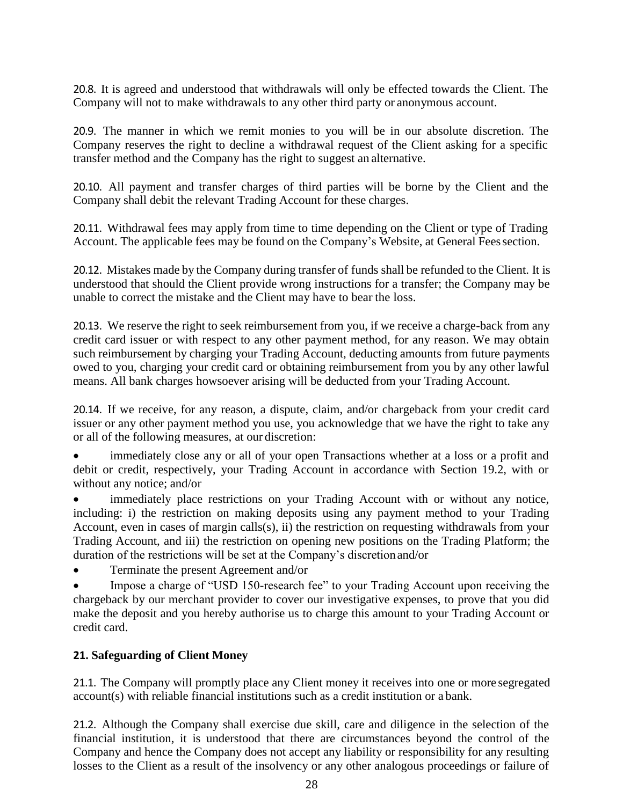20.8. It is agreed and understood that withdrawals will only be effected towards the Client. The Company will not to make withdrawals to any other third party or anonymous account.

20.9. The manner in which we remit monies to you will be in our absolute discretion. The Company reserves the right to decline a withdrawal request of the Client asking for a specific transfer method and the Company has the right to suggest an alternative.

20.10. All payment and transfer charges of third parties will be borne by the Client and the Company shall debit the relevant Trading Account for these charges.

20.11. Withdrawal fees may apply from time to time depending on the Client or type of Trading Account. The applicable fees may be found on the Company's Website, at General Fees section.

20.12. Mistakes made by the Company during transfer of funds shall be refunded to the Client. It is understood that should the Client provide wrong instructions for a transfer; the Company may be unable to correct the mistake and the Client may have to bear the loss.

20.13. We reserve the right to seek reimbursement from you, if we receive a charge-back from any credit card issuer or with respect to any other payment method, for any reason. We may obtain such reimbursement by charging your Trading Account, deducting amounts from future payments owed to you, charging your credit card or obtaining reimbursement from you by any other lawful means. All bank charges howsoever arising will be deducted from your Trading Account.

20.14. If we receive, for any reason, a dispute, claim, and/or chargeback from your credit card issuer or any other payment method you use, you acknowledge that we have the right to take any or all of the following measures, at our discretion:

• immediately close any or all of your open Transactions whether at a loss or a profit and debit or credit, respectively, your Trading Account in accordance with Section 19.2, with or without any notice; and/or

immediately place restrictions on your Trading Account with or without any notice, including: i) the restriction on making deposits using any payment method to your Trading Account, even in cases of margin calls(s), ii) the restriction on requesting withdrawals from your Trading Account, and iii) the restriction on opening new positions on the Trading Platform; the duration of the restrictions will be set at the Company's discretionand/or

• Terminate the present Agreement and/or

Impose a charge of "USD 150-research fee" to your Trading Account upon receiving the chargeback by our merchant provider to cover our investigative expenses, to prove that you did make the deposit and you hereby authorise us to charge this amount to your Trading Account or credit card.

# **21. Safeguarding of Client Money**

21.1. The Company will promptly place any Client money it receives into one or more segregated account(s) with reliable financial institutions such as a credit institution or a bank.

21.2. Although the Company shall exercise due skill, care and diligence in the selection of the financial institution, it is understood that there are circumstances beyond the control of the Company and hence the Company does not accept any liability or responsibility for any resulting losses to the Client as a result of the insolvency or any other analogous proceedings or failure of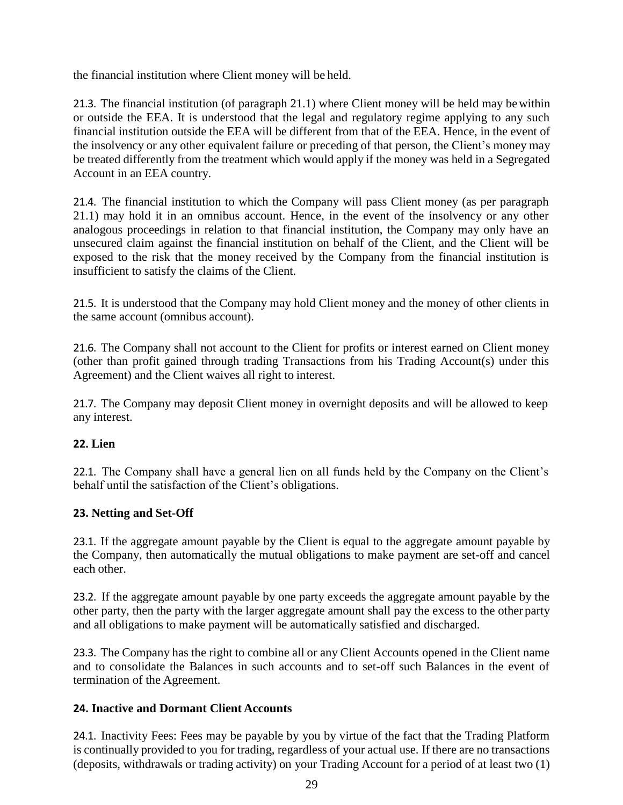the financial institution where Client money will be held.

21.3. The financial institution (of paragraph 21.1) where Client money will be held may bewithin or outside the EEA. It is understood that the legal and regulatory regime applying to any such financial institution outside the EEA will be different from that of the EEA. Hence, in the event of the insolvency or any other equivalent failure or preceding of that person, the Client's money may be treated differently from the treatment which would apply if the money was held in a Segregated Account in an EEA country.

21.4. The financial institution to which the Company will pass Client money (as per paragraph 21.1) may hold it in an omnibus account. Hence, in the event of the insolvency or any other analogous proceedings in relation to that financial institution, the Company may only have an unsecured claim against the financial institution on behalf of the Client, and the Client will be exposed to the risk that the money received by the Company from the financial institution is insufficient to satisfy the claims of the Client.

21.5. It is understood that the Company may hold Client money and the money of other clients in the same account (omnibus account).

21.6. The Company shall not account to the Client for profits or interest earned on Client money (other than profit gained through trading Transactions from his Trading Account(s) under this Agreement) and the Client waives all right to interest.

21.7. The Company may deposit Client money in overnight deposits and will be allowed to keep any interest.

# **22. Lien**

22.1. The Company shall have a general lien on all funds held by the Company on the Client's behalf until the satisfaction of the Client's obligations.

#### **23. Netting and Set-Off**

23.1. If the aggregate amount payable by the Client is equal to the aggregate amount payable by the Company, then automatically the mutual obligations to make payment are set-off and cancel each other.

23.2. If the aggregate amount payable by one party exceeds the aggregate amount payable by the other party, then the party with the larger aggregate amount shall pay the excess to the other party and all obligations to make payment will be automatically satisfied and discharged.

23.3. The Company has the right to combine all or any Client Accounts opened in the Client name and to consolidate the Balances in such accounts and to set-off such Balances in the event of termination of the Agreement.

#### **24. Inactive and Dormant Client Accounts**

24.1. Inactivity Fees: Fees may be payable by you by virtue of the fact that the Trading Platform is continually provided to you for trading, regardless of your actual use. If there are no transactions (deposits, withdrawals or trading activity) on your Trading Account for a period of at least two (1)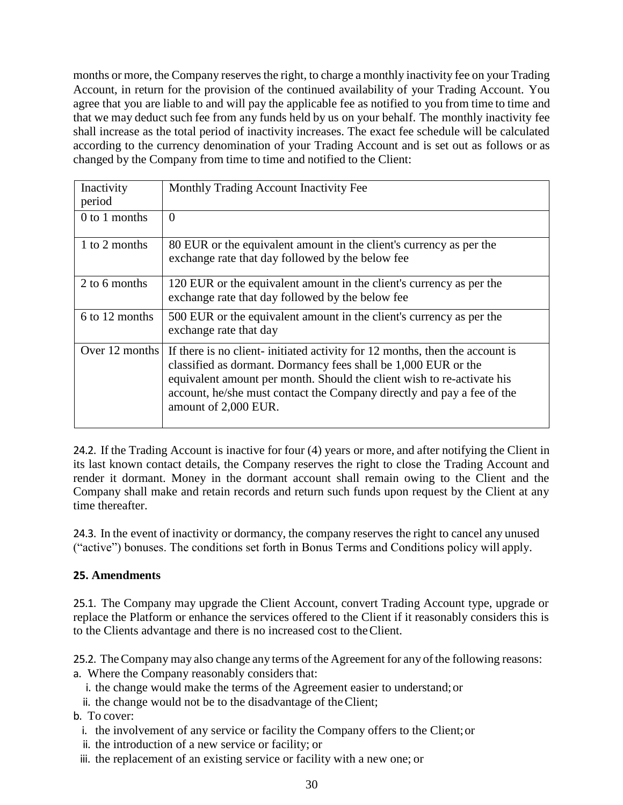months or more, the Company reserves the right, to charge a monthly inactivity fee on your Trading Account, in return for the provision of the continued availability of your Trading Account. You agree that you are liable to and will pay the applicable fee as notified to you from time to time and that we may deduct such fee from any funds held by us on your behalf. The monthly inactivity fee shall increase as the total period of inactivity increases. The exact fee schedule will be calculated according to the currency denomination of your Trading Account and is set out as follows or as changed by the Company from time to time and notified to the Client:

| Inactivity<br>period | Monthly Trading Account Inactivity Fee                                                                                                                                                                                                                                                                                    |
|----------------------|---------------------------------------------------------------------------------------------------------------------------------------------------------------------------------------------------------------------------------------------------------------------------------------------------------------------------|
| $0$ to 1 months      | $\Omega$                                                                                                                                                                                                                                                                                                                  |
| 1 to 2 months        | 80 EUR or the equivalent amount in the client's currency as per the<br>exchange rate that day followed by the below fee                                                                                                                                                                                                   |
| 2 to 6 months        | 120 EUR or the equivalent amount in the client's currency as per the<br>exchange rate that day followed by the below fee                                                                                                                                                                                                  |
| 6 to 12 months       | 500 EUR or the equivalent amount in the client's currency as per the<br>exchange rate that day                                                                                                                                                                                                                            |
| Over 12 months       | If there is no client-initiated activity for 12 months, then the account is<br>classified as dormant. Dormancy fees shall be 1,000 EUR or the<br>equivalent amount per month. Should the client wish to re-activate his<br>account, he/she must contact the Company directly and pay a fee of the<br>amount of 2,000 EUR. |

24.2. If the Trading Account is inactive for four (4) years or more, and after notifying the Client in its last known contact details, the Company reserves the right to close the Trading Account and render it dormant. Money in the dormant account shall remain owing to the Client and the Company shall make and retain records and return such funds upon request by the Client at any time thereafter.

24.3. In the event of inactivity or dormancy, the company reserves the right to cancel any unused ("active") bonuses. The conditions set forth in Bonus Terms and Conditions policy will apply.

# **25. Amendments**

25.1. The Company may upgrade the Client Account, convert Trading Account type, upgrade or replace the Platform or enhance the services offered to the Client if it reasonably considers this is to the Clients advantage and there is no increased cost to theClient.

25.2. The Company may also change any terms of the Agreement for any of the following reasons: a. Where the Company reasonably considers that:

- i. the change would make the terms of the Agreement easier to understand;or
- ii. the change would not be to the disadvantage of theClient;

b. To cover:

- i. the involvement of any service or facility the Company offers to the Client;or
- ii. the introduction of a new service or facility; or
- iii. the replacement of an existing service or facility with a new one; or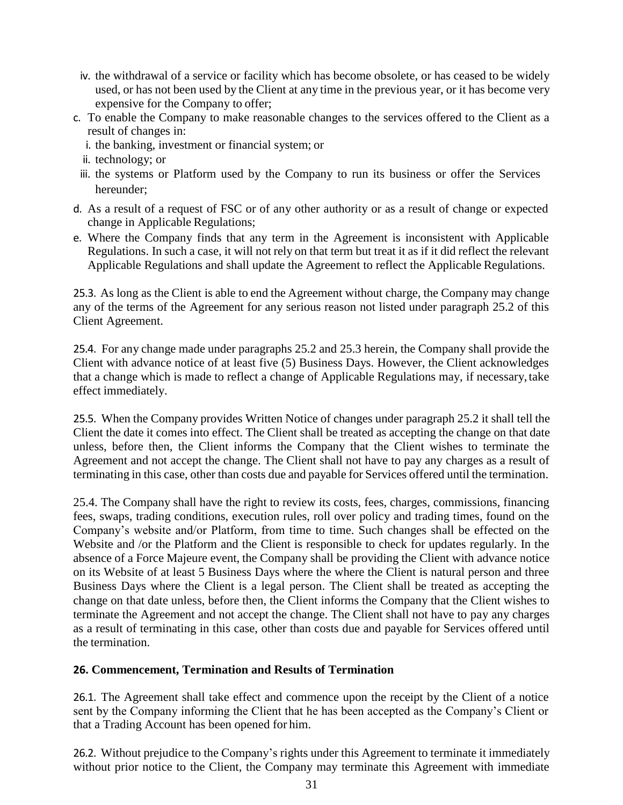- iv. the withdrawal of a service or facility which has become obsolete, or has ceased to be widely used, or has not been used by the Client at any time in the previous year, or it has become very expensive for the Company to offer;
- c. To enable the Company to make reasonable changes to the services offered to the Client as a result of changes in:
	- i. the banking, investment or financial system; or
	- ii. technology; or
	- iii. the systems or Platform used by the Company to run its business or offer the Services hereunder;
- d. As a result of a request of FSC or of any other authority or as a result of change or expected change in Applicable Regulations;
- e. Where the Company finds that any term in the Agreement is inconsistent with Applicable Regulations. In such a case, it will not rely on that term but treat it as if it did reflect the relevant Applicable Regulations and shall update the Agreement to reflect the Applicable Regulations.

25.3. As long as the Client is able to end the Agreement without charge, the Company may change any of the terms of the Agreement for any serious reason not listed under paragraph 25.2 of this Client Agreement.

25.4. For any change made under paragraphs 25.2 and 25.3 herein, the Company shall provide the Client with advance notice of at least five (5) Business Days. However, the Client acknowledges that a change which is made to reflect a change of Applicable Regulations may, if necessary,take effect immediately.

25.5. When the Company provides Written Notice of changes under paragraph 25.2 it shall tell the Client the date it comes into effect. The Client shall be treated as accepting the change on that date unless, before then, the Client informs the Company that the Client wishes to terminate the Agreement and not accept the change. The Client shall not have to pay any charges as a result of terminating in this case, other than costs due and payable for Services offered until the termination.

25.4. The Company shall have the right to review its costs, fees, charges, commissions, financing fees, swaps, trading conditions, execution rules, roll over policy and trading times, found on the Company's website and/or Platform, from time to time. Such changes shall be effected on the Website and /or the Platform and the Client is responsible to check for updates regularly. In the absence of a Force Majeure event, the Company shall be providing the Client with advance notice on its Website of at least 5 Business Days where the where the Client is natural person and three Business Days where the Client is a legal person. The Client shall be treated as accepting the change on that date unless, before then, the Client informs the Company that the Client wishes to terminate the Agreement and not accept the change. The Client shall not have to pay any charges as a result of terminating in this case, other than costs due and payable for Services offered until the termination.

#### **26. Commencement, Termination and Results of Termination**

26.1. The Agreement shall take effect and commence upon the receipt by the Client of a notice sent by the Company informing the Client that he has been accepted as the Company's Client or that a Trading Account has been opened for him.

26.2. Without prejudice to the Company's rights under this Agreement to terminate it immediately without prior notice to the Client, the Company may terminate this Agreement with immediate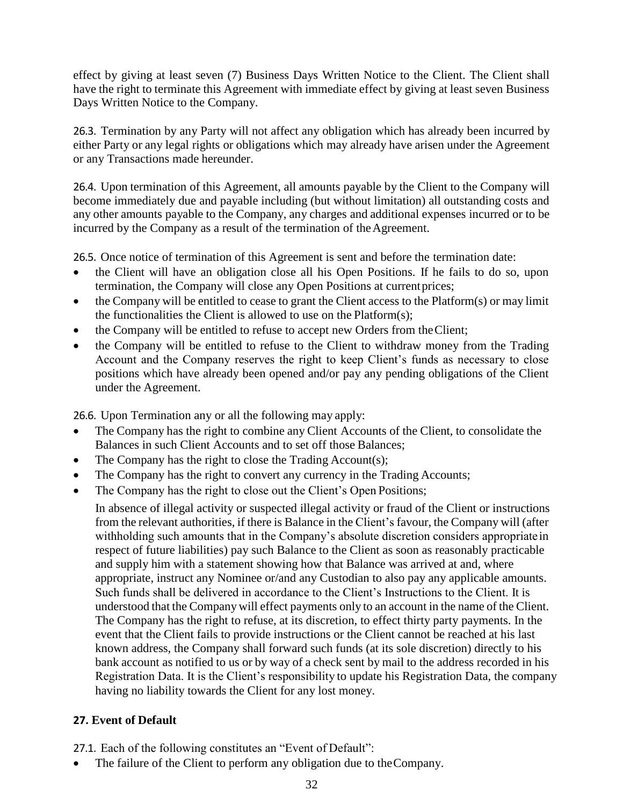effect by giving at least seven (7) Business Days Written Notice to the Client. The Client shall have the right to terminate this Agreement with immediate effect by giving at least seven Business Days Written Notice to the Company.

26.3. Termination by any Party will not affect any obligation which has already been incurred by either Party or any legal rights or obligations which may already have arisen under the Agreement or any Transactions made hereunder.

26.4. Upon termination of this Agreement, all amounts payable by the Client to the Company will become immediately due and payable including (but without limitation) all outstanding costs and any other amounts payable to the Company, any charges and additional expenses incurred or to be incurred by the Company as a result of the termination of the Agreement.

26.5. Once notice of termination of this Agreement is sent and before the termination date:

- the Client will have an obligation close all his Open Positions. If he fails to do so, upon termination, the Company will close any Open Positions at currentprices;
- the Company will be entitled to cease to grant the Client access to the Platform(s) or may limit the functionalities the Client is allowed to use on the Platform(s);
- the Company will be entitled to refuse to accept new Orders from theClient;
- the Company will be entitled to refuse to the Client to withdraw money from the Trading Account and the Company reserves the right to keep Client's funds as necessary to close positions which have already been opened and/or pay any pending obligations of the Client under the Agreement.

26.6. Upon Termination any or all the following may apply:

- The Company has the right to combine any Client Accounts of the Client, to consolidate the Balances in such Client Accounts and to set off those Balances;
- The Company has the right to close the Trading Account(s);
- The Company has the right to convert any currency in the Trading Accounts;
- The Company has the right to close out the Client's Open Positions;

In absence of illegal activity or suspected illegal activity or fraud of the Client or instructions from the relevant authorities, if there is Balance in the Client's favour, the Company will (after withholding such amounts that in the Company's absolute discretion considers appropriate in respect of future liabilities) pay such Balance to the Client as soon as reasonably practicable and supply him with a statement showing how that Balance was arrived at and, where appropriate, instruct any Nominee or/and any Custodian to also pay any applicable amounts. Such funds shall be delivered in accordance to the Client's Instructions to the Client. It is understood that the Company will effect payments only to an account in the name of the Client. The Company has the right to refuse, at its discretion, to effect thirty party payments. In the event that the Client fails to provide instructions or the Client cannot be reached at his last known address, the Company shall forward such funds (at its sole discretion) directly to his bank account as notified to us or by way of a check sent by mail to the address recorded in his Registration Data. It is the Client's responsibility to update his Registration Data, the company having no liability towards the Client for any lost money.

# **27. Event of Default**

27.1. Each of the following constitutes an "Event of Default":

The failure of the Client to perform any obligation due to the Company.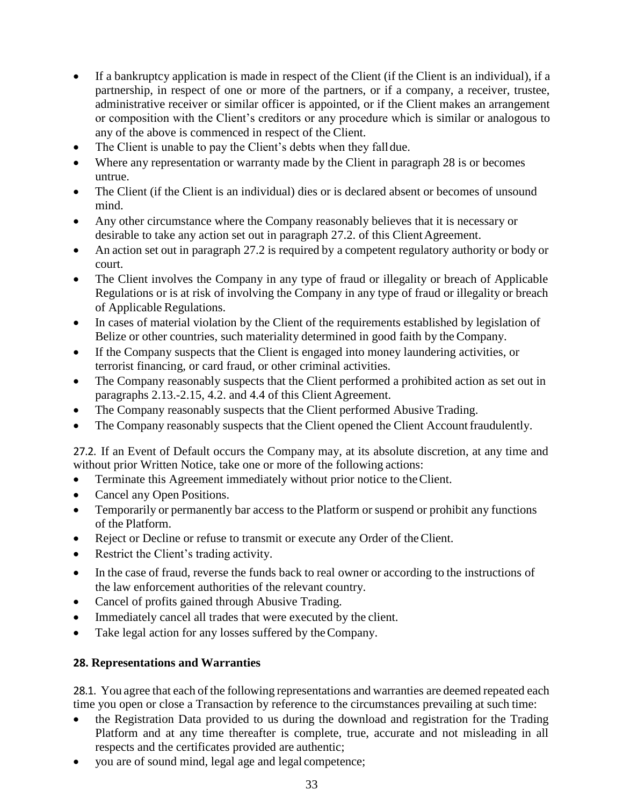- If a bankruptcy application is made in respect of the Client (if the Client is an individual), if a partnership, in respect of one or more of the partners, or if a company, a receiver, trustee, administrative receiver or similar officer is appointed, or if the Client makes an arrangement or composition with the Client's creditors or any procedure which is similar or analogous to any of the above is commenced in respect of the Client.
- The Client is unable to pay the Client's debts when they falldue.
- Where any representation or warranty made by the Client in paragraph 28 is or becomes untrue.
- The Client (if the Client is an individual) dies or is declared absent or becomes of unsound mind.
- Any other circumstance where the Company reasonably believes that it is necessary or desirable to take any action set out in paragraph 27.2. of this Client Agreement.
- An action set out in paragraph 27.2 is required by a competent regulatory authority or body or court.
- The Client involves the Company in any type of fraud or illegality or breach of Applicable Regulations or is at risk of involving the Company in any type of fraud or illegality or breach of Applicable Regulations.
- In cases of material violation by the Client of the requirements established by legislation of Belize or other countries, such materiality determined in good faith by the Company.
- If the Company suspects that the Client is engaged into money laundering activities, or terrorist financing, or card fraud, or other criminal activities.
- The Company reasonably suspects that the Client performed a prohibited action as set out in paragraphs 2.13.-2.15, 4.2. and 4.4 of this Client Agreement.
- The Company reasonably suspects that the Client performed Abusive Trading.
- The Company reasonably suspects that the Client opened the Client Account fraudulently.

27.2. If an Event of Default occurs the Company may, at its absolute discretion, at any time and without prior Written Notice, take one or more of the following actions:

- Terminate this Agreement immediately without prior notice to theClient.
- Cancel any Open Positions.
- Temporarily or permanently bar access to the Platform or suspend or prohibit any functions of the Platform.
- Reject or Decline or refuse to transmit or execute any Order of the Client.
- Restrict the Client's trading activity.
- In the case of fraud, reverse the funds back to real owner or according to the instructions of the law enforcement authorities of the relevant country.
- Cancel of profits gained through Abusive Trading.
- Immediately cancel all trades that were executed by the client.
- Take legal action for any losses suffered by the Company.

# **28. Representations and Warranties**

28.1. You agree that each of the following representations and warranties are deemed repeated each time you open or close a Transaction by reference to the circumstances prevailing at such time:

- the Registration Data provided to us during the download and registration for the Trading Platform and at any time thereafter is complete, true, accurate and not misleading in all respects and the certificates provided are authentic;
- you are of sound mind, legal age and legal competence;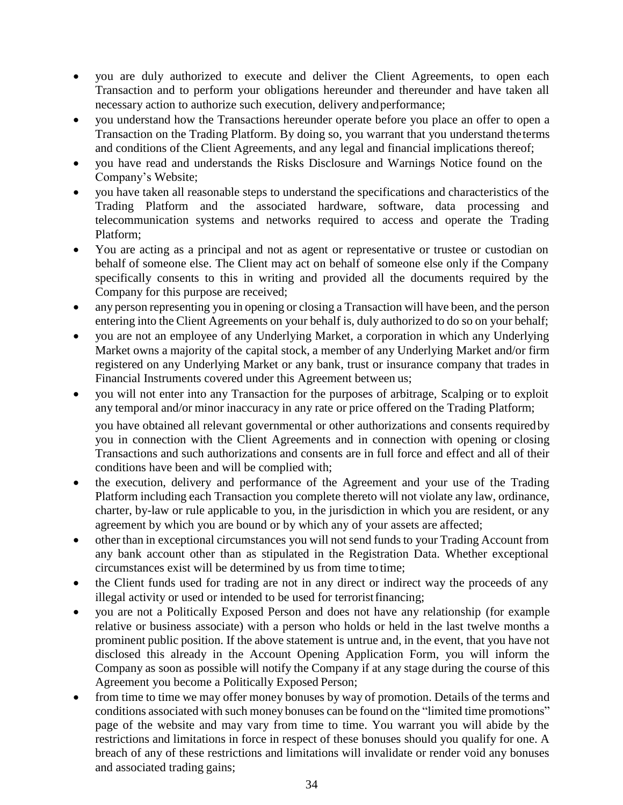- you are duly authorized to execute and deliver the Client Agreements, to open each Transaction and to perform your obligations hereunder and thereunder and have taken all necessary action to authorize such execution, delivery andperformance;
- you understand how the Transactions hereunder operate before you place an offer to open a Transaction on the Trading Platform. By doing so, you warrant that you understand theterms and conditions of the Client Agreements, and any legal and financial implications thereof;
- you have read and understands the Risks Disclosure and Warnings Notice found on the Company's Website;
- you have taken all reasonable steps to understand the specifications and characteristics of the Trading Platform and the associated hardware, software, data processing and telecommunication systems and networks required to access and operate the Trading Platform;
- You are acting as a principal and not as agent or representative or trustee or custodian on behalf of someone else. The Client may act on behalf of someone else only if the Company specifically consents to this in writing and provided all the documents required by the Company for this purpose are received;
- any person representing you in opening or closing a Transaction will have been, and the person entering into the Client Agreements on your behalf is, duly authorized to do so on your behalf;
- you are not an employee of any Underlying Market, a corporation in which any Underlying Market owns a majority of the capital stock, a member of any Underlying Market and/or firm registered on any Underlying Market or any bank, trust or insurance company that trades in Financial Instruments covered under this Agreement between us;
- you will not enter into any Transaction for the purposes of arbitrage, Scalping or to exploit any temporal and/or minor inaccuracy in any rate or price offered on the Trading Platform;

you have obtained all relevant governmental or other authorizations and consents requiredby you in connection with the Client Agreements and in connection with opening or closing Transactions and such authorizations and consents are in full force and effect and all of their conditions have been and will be complied with;

- the execution, delivery and performance of the Agreement and your use of the Trading Platform including each Transaction you complete thereto will not violate any law, ordinance, charter, by-law or rule applicable to you, in the jurisdiction in which you are resident, or any agreement by which you are bound or by which any of your assets are affected;
- other than in exceptional circumstances you will not send fundsto your Trading Account from any bank account other than as stipulated in the Registration Data. Whether exceptional circumstances exist will be determined by us from time to time;
- the Client funds used for trading are not in any direct or indirect way the proceeds of any illegal activity or used or intended to be used for terroristfinancing;
- you are not a Politically Exposed Person and does not have any relationship (for example relative or business associate) with a person who holds or held in the last twelve months a prominent public position. If the above statement is untrue and, in the event, that you have not disclosed this already in the Account Opening Application Form, you will inform the Company as soon as possible will notify the Company if at any stage during the course of this Agreement you become a Politically Exposed Person;
- from time to time we may offer money bonuses by way of promotion. Details of the terms and conditions associated with such money bonuses can be found on the "limited time promotions" page of the website and may vary from time to time. You warrant you will abide by the restrictions and limitations in force in respect of these bonuses should you qualify for one. A breach of any of these restrictions and limitations will invalidate or render void any bonuses and associated trading gains;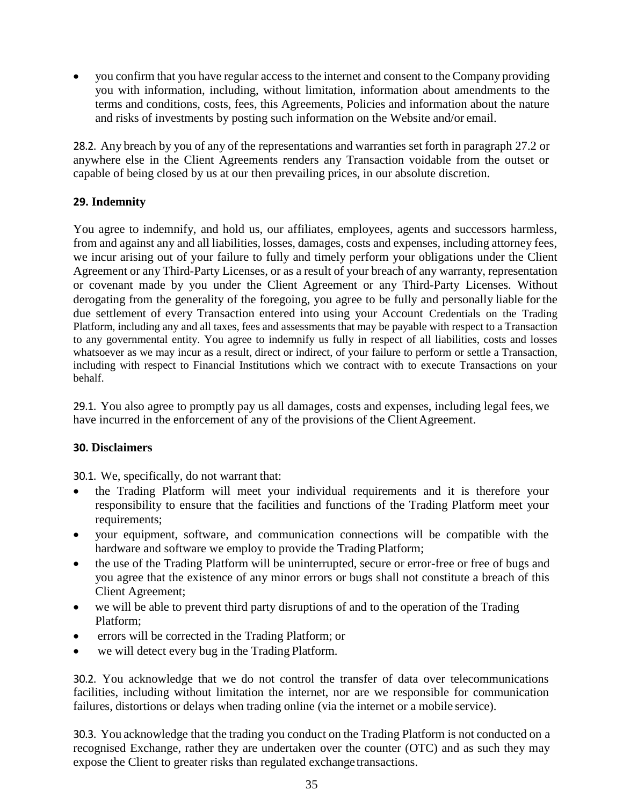• you confirm that you have regular access to the internet and consent to the Company providing you with information, including, without limitation, information about amendments to the terms and conditions, costs, fees, this Agreements, Policies and information about the nature and risks of investments by posting such information on the Website and/or email.

28.2. Any breach by you of any of the representations and warranties set forth in paragraph 27.2 or anywhere else in the Client Agreements renders any Transaction voidable from the outset or capable of being closed by us at our then prevailing prices, in our absolute discretion.

# **29. Indemnity**

You agree to indemnify, and hold us, our affiliates, employees, agents and successors harmless, from and against any and all liabilities, losses, damages, costs and expenses, including attorney fees, we incur arising out of your failure to fully and timely perform your obligations under the Client Agreement or any Third-Party Licenses, or as a result of your breach of any warranty, representation or covenant made by you under the Client Agreement or any Third-Party Licenses. Without derogating from the generality of the foregoing, you agree to be fully and personally liable for the due settlement of every Transaction entered into using your Account Credentials on the Trading Platform, including any and all taxes, fees and assessments that may be payable with respect to a Transaction to any governmental entity. You agree to indemnify us fully in respect of all liabilities, costs and losses whatsoever as we may incur as a result, direct or indirect, of your failure to perform or settle a Transaction, including with respect to Financial Institutions which we contract with to execute Transactions on your behalf.

29.1. You also agree to promptly pay us all damages, costs and expenses, including legal fees,we have incurred in the enforcement of any of the provisions of the Client Agreement.

# **30. Disclaimers**

30.1. We, specifically, do not warrant that:

- the Trading Platform will meet your individual requirements and it is therefore your responsibility to ensure that the facilities and functions of the Trading Platform meet your requirements;
- your equipment, software, and communication connections will be compatible with the hardware and software we employ to provide the Trading Platform;
- the use of the Trading Platform will be uninterrupted, secure or error-free or free of bugs and you agree that the existence of any minor errors or bugs shall not constitute a breach of this Client Agreement;
- we will be able to prevent third party disruptions of and to the operation of the Trading Platform;
- errors will be corrected in the Trading Platform; or
- we will detect every bug in the Trading Platform.

30.2. You acknowledge that we do not control the transfer of data over telecommunications facilities, including without limitation the internet, nor are we responsible for communication failures, distortions or delays when trading online (via the internet or a mobile service).

30.3. You acknowledge that the trading you conduct on the Trading Platform is not conducted on a recognised Exchange, rather they are undertaken over the counter (OTC) and as such they may expose the Client to greater risks than regulated exchange transactions.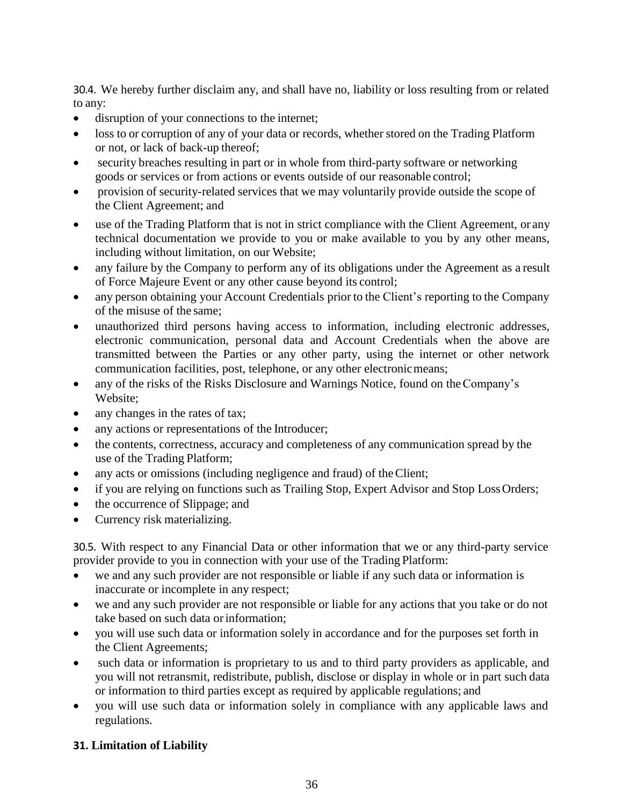30.4. We hereby further disclaim any, and shall have no, liability or loss resulting from or related to any:

- disruption of your connections to the internet;
- loss to or corruption of any of your data or records, whether stored on the Trading Platform or not, or lack of back-up thereof;
- security breaches resulting in part or in whole from third-party software or networking goods or services or from actions or events outside of our reasonable control;
- provision of security-related services that we may voluntarily provide outside the scope of the Client Agreement; and
- use of the Trading Platform that is not in strict compliance with the Client Agreement, or any technical documentation we provide to you or make available to you by any other means, including without limitation, on our Website;
- any failure by the Company to perform any of its obligations under the Agreement as a result of Force Majeure Event or any other cause beyond its control;
- any person obtaining your Account Credentials prior to the Client's reporting to the Company of the misuse of the same;
- unauthorized third persons having access to information, including electronic addresses, electronic communication, personal data and Account Credentials when the above are transmitted between the Parties or any other party, using the internet or other network communication facilities, post, telephone, or any other electronic means;
- any of the risks of the Risks Disclosure and Warnings Notice, found on the Company's Website;
- any changes in the rates of tax;
- any actions or representations of the Introducer;
- the contents, correctness, accuracy and completeness of any communication spread by the use of the Trading Platform;
- any acts or omissions (including negligence and fraud) of the Client;
- if you are relying on functions such as Trailing Stop, Expert Advisor and Stop Loss Orders;
- the occurrence of Slippage; and
- Currency risk materializing.

30.5. With respect to any Financial Data or other information that we or any third-party service provider provide to you in connection with your use of the Trading Platform:

- we and any such provider are not responsible or liable if any such data or information is inaccurate or incomplete in any respect;
- we and any such provider are not responsible or liable for any actions that you take or do not take based on such data or information;
- you will use such data or information solely in accordance and for the purposes set forth in the Client Agreements;
- such data or information is proprietary to us and to third party providers as applicable, and you will not retransmit, redistribute, publish, disclose or display in whole or in part such data or information to third parties except as required by applicable regulations; and
- you will use such data or information solely in compliance with any applicable laws and regulations.

# **31. Limitation of Liability**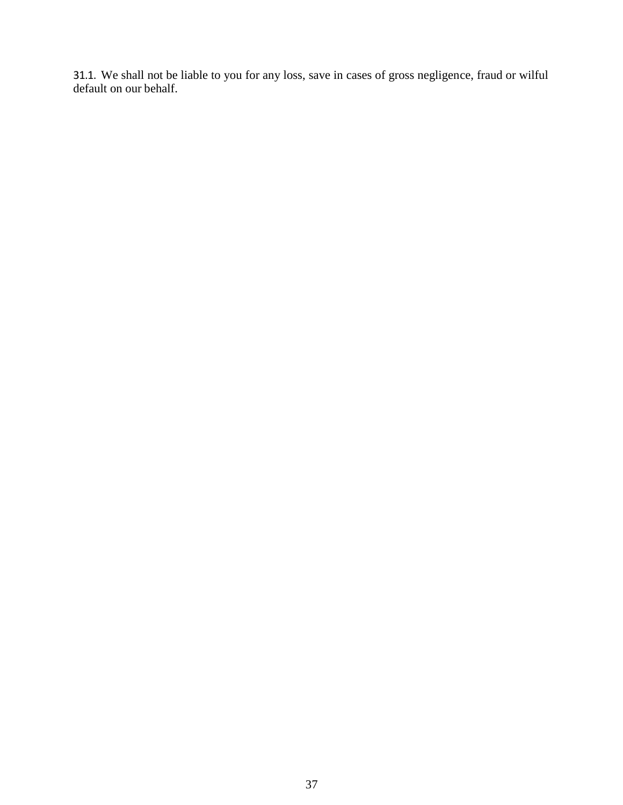31.1. We shall not be liable to you for any loss, save in cases of gross negligence, fraud or wilful default on our behalf.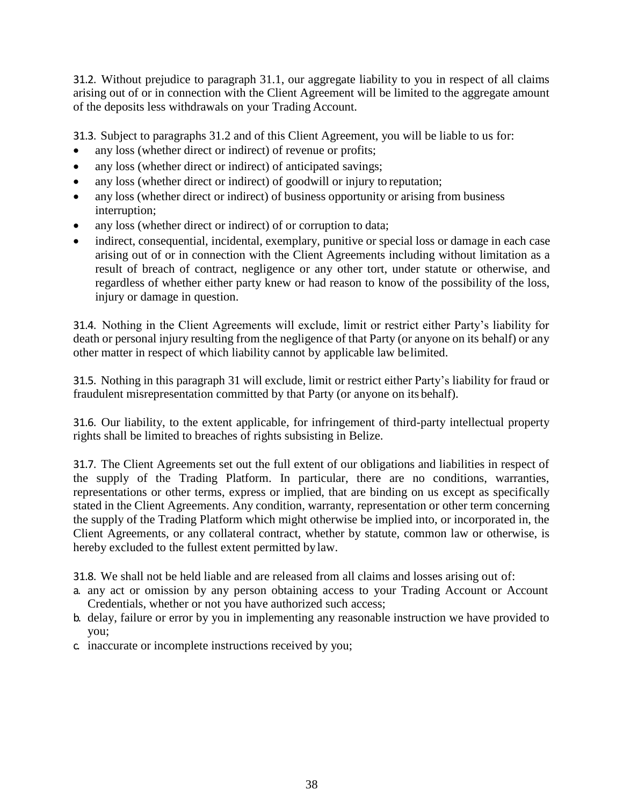31.2. Without prejudice to paragraph 31.1, our aggregate liability to you in respect of all claims arising out of or in connection with the Client Agreement will be limited to the aggregate amount of the deposits less withdrawals on your Trading Account.

31.3. Subject to paragraphs 31.2 and of this Client Agreement, you will be liable to us for:

- any loss (whether direct or indirect) of revenue or profits;
- any loss (whether direct or indirect) of anticipated savings;
- any loss (whether direct or indirect) of goodwill or injury to reputation;
- any loss (whether direct or indirect) of business opportunity or arising from business interruption;
- any loss (whether direct or indirect) of or corruption to data;
- indirect, consequential, incidental, exemplary, punitive or special loss or damage in each case arising out of or in connection with the Client Agreements including without limitation as a result of breach of contract, negligence or any other tort, under statute or otherwise, and regardless of whether either party knew or had reason to know of the possibility of the loss, injury or damage in question.

31.4. Nothing in the Client Agreements will exclude, limit or restrict either Party's liability for death or personal injury resulting from the negligence of that Party (or anyone on its behalf) or any other matter in respect of which liability cannot by applicable law belimited.

31.5. Nothing in this paragraph 31 will exclude, limit or restrict either Party's liability for fraud or fraudulent misrepresentation committed by that Party (or anyone on its behalf).

31.6. Our liability, to the extent applicable, for infringement of third-party intellectual property rights shall be limited to breaches of rights subsisting in Belize.

31.7. The Client Agreements set out the full extent of our obligations and liabilities in respect of the supply of the Trading Platform. In particular, there are no conditions, warranties, representations or other terms, express or implied, that are binding on us except as specifically stated in the Client Agreements. Any condition, warranty, representation or other term concerning the supply of the Trading Platform which might otherwise be implied into, or incorporated in, the Client Agreements, or any collateral contract, whether by statute, common law or otherwise, is hereby excluded to the fullest extent permitted bylaw.

31.8. We shall not be held liable and are released from all claims and losses arising out of:

- a. any act or omission by any person obtaining access to your Trading Account or Account Credentials, whether or not you have authorized such access;
- b. delay, failure or error by you in implementing any reasonable instruction we have provided to you;
- c. inaccurate or incomplete instructions received by you;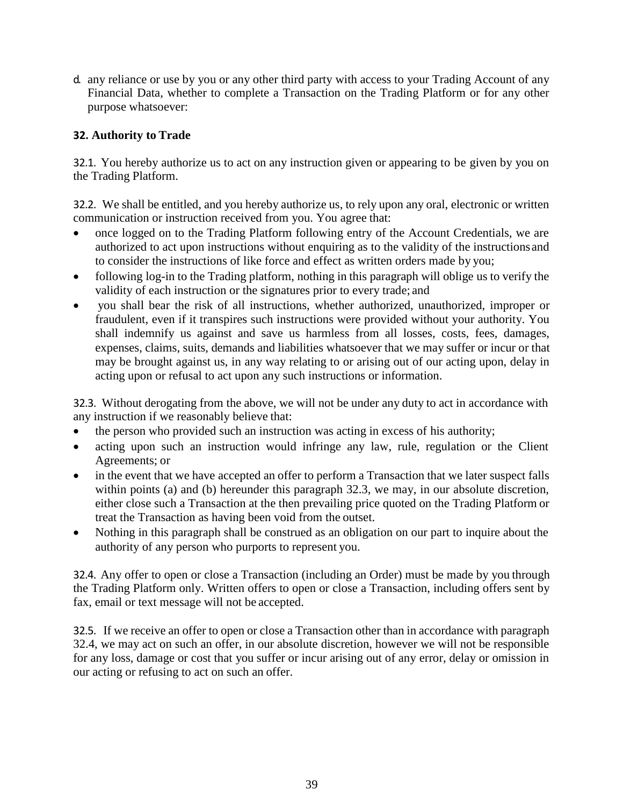d. any reliance or use by you or any other third party with access to your Trading Account of any Financial Data, whether to complete a Transaction on the Trading Platform or for any other purpose whatsoever:

### **32. Authority to Trade**

32.1. You hereby authorize us to act on any instruction given or appearing to be given by you on the Trading Platform.

32.2. We shall be entitled, and you hereby authorize us, to rely upon any oral, electronic or written communication or instruction received from you. You agree that:

- once logged on to the Trading Platform following entry of the Account Credentials, we are authorized to act upon instructions without enquiring as to the validity of the instructionsand to consider the instructions of like force and effect as written orders made by you;
- following log-in to the Trading platform, nothing in this paragraph will oblige us to verify the validity of each instruction or the signatures prior to every trade; and
- you shall bear the risk of all instructions, whether authorized, unauthorized, improper or fraudulent, even if it transpires such instructions were provided without your authority. You shall indemnify us against and save us harmless from all losses, costs, fees, damages, expenses, claims, suits, demands and liabilities whatsoever that we may suffer or incur or that may be brought against us, in any way relating to or arising out of our acting upon, delay in acting upon or refusal to act upon any such instructions or information.

32.3. Without derogating from the above, we will not be under any duty to act in accordance with any instruction if we reasonably believe that:

- the person who provided such an instruction was acting in excess of his authority;
- acting upon such an instruction would infringe any law, rule, regulation or the Client Agreements; or
- in the event that we have accepted an offer to perform a Transaction that we later suspect falls within points (a) and (b) hereunder this paragraph 32.3, we may, in our absolute discretion, either close such a Transaction at the then prevailing price quoted on the Trading Platform or treat the Transaction as having been void from the outset.
- Nothing in this paragraph shall be construed as an obligation on our part to inquire about the authority of any person who purports to represent you.

32.4. Any offer to open or close a Transaction (including an Order) must be made by you through the Trading Platform only. Written offers to open or close a Transaction, including offers sent by fax, email or text message will not be accepted.

32.5. If we receive an offer to open or close a Transaction other than in accordance with paragraph 32.4, we may act on such an offer, in our absolute discretion, however we will not be responsible for any loss, damage or cost that you suffer or incur arising out of any error, delay or omission in our acting or refusing to act on such an offer.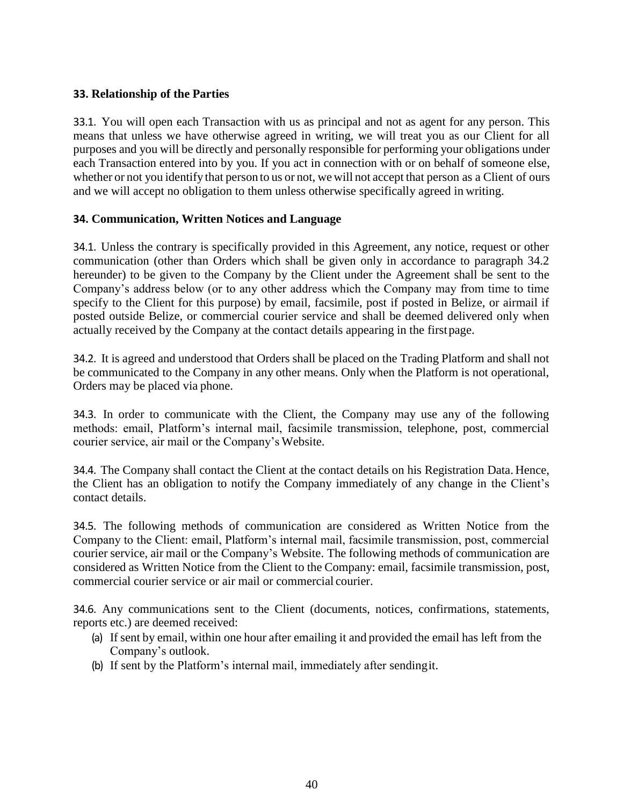### **33. Relationship of the Parties**

33.1. You will open each Transaction with us as principal and not as agent for any person. This means that unless we have otherwise agreed in writing, we will treat you as our Client for all purposes and you will be directly and personally responsible for performing your obligations under each Transaction entered into by you. If you act in connection with or on behalf of someone else, whether or not you identify that person to us or not, we will not accept that person as a Client of ours and we will accept no obligation to them unless otherwise specifically agreed in writing.

#### **34. Communication, Written Notices and Language**

34.1. Unless the contrary is specifically provided in this Agreement, any notice, request or other communication (other than Orders which shall be given only in accordance to paragraph 34.2 hereunder) to be given to the Company by the Client under the Agreement shall be sent to the Company's address below (or to any other address which the Company may from time to time specify to the Client for this purpose) by email, facsimile, post if posted in Belize, or airmail if posted outside Belize, or commercial courier service and shall be deemed delivered only when actually received by the Company at the contact details appearing in the firstpage.

34.2. It is agreed and understood that Orders shall be placed on the Trading Platform and shall not be communicated to the Company in any other means. Only when the Platform is not operational, Orders may be placed via phone.

34.3. In order to communicate with the Client, the Company may use any of the following methods: email, Platform's internal mail, facsimile transmission, telephone, post, commercial courier service, air mail or the Company's Website.

34.4. The Company shall contact the Client at the contact details on his Registration Data. Hence, the Client has an obligation to notify the Company immediately of any change in the Client's contact details.

34.5. The following methods of communication are considered as Written Notice from the Company to the Client: email, Platform's internal mail, facsimile transmission, post, commercial courier service, air mail or the Company's Website. The following methods of communication are considered as Written Notice from the Client to the Company: email, facsimile transmission, post, commercial courier service or air mail or commercial courier.

34.6. Any communications sent to the Client (documents, notices, confirmations, statements, reports etc.) are deemed received:

- (a) If sent by email, within one hour after emailing it and provided the email has left from the Company's outlook.
- (b) If sent by the Platform's internal mail, immediately after sendingit.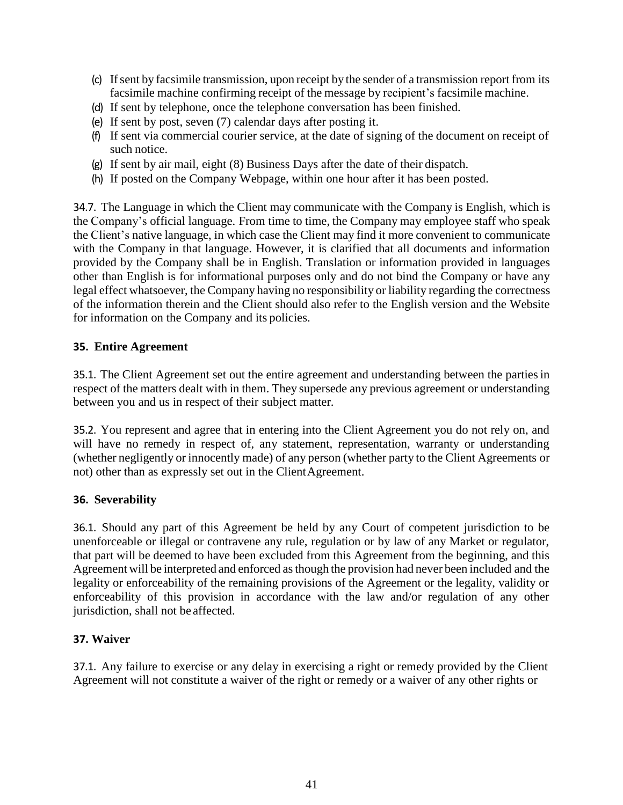- (c) Ifsent by facsimile transmission, upon receipt by the sender of a transmission report from its facsimile machine confirming receipt of the message by recipient's facsimile machine.
- (d) If sent by telephone, once the telephone conversation has been finished.
- (e) If sent by post, seven (7) calendar days after posting it.
- (f) If sent via commercial courier service, at the date of signing of the document on receipt of such notice.
- (g) If sent by air mail, eight (8) Business Days after the date of their dispatch.
- (h) If posted on the Company Webpage, within one hour after it has been posted.

34.7. The Language in which the Client may communicate with the Company is English, which is the Company's official language. From time to time, the Company may employee staff who speak the Client's native language, in which case the Client may find it more convenient to communicate with the Company in that language. However, it is clarified that all documents and information provided by the Company shall be in English. Translation or information provided in languages other than English is for informational purposes only and do not bind the Company or have any legal effect whatsoever, the Company having no responsibility or liability regarding the correctness of the information therein and the Client should also refer to the English version and the Website for information on the Company and its policies.

#### **35. Entire Agreement**

35.1. The Client Agreement set out the entire agreement and understanding between the partiesin respect of the matters dealt with in them. They supersede any previous agreement or understanding between you and us in respect of their subject matter.

35.2. You represent and agree that in entering into the Client Agreement you do not rely on, and will have no remedy in respect of, any statement, representation, warranty or understanding (whether negligently or innocently made) of any person (whether party to the Client Agreements or not) other than as expressly set out in the ClientAgreement.

#### **36. Severability**

36.1. Should any part of this Agreement be held by any Court of competent jurisdiction to be unenforceable or illegal or contravene any rule, regulation or by law of any Market or regulator, that part will be deemed to have been excluded from this Agreement from the beginning, and this Agreement will be interpreted and enforced asthough the provision had never been included and the legality or enforceability of the remaining provisions of the Agreement or the legality, validity or enforceability of this provision in accordance with the law and/or regulation of any other jurisdiction, shall not be affected.

#### **37. Waiver**

37.1. Any failure to exercise or any delay in exercising a right or remedy provided by the Client Agreement will not constitute a waiver of the right or remedy or a waiver of any other rights or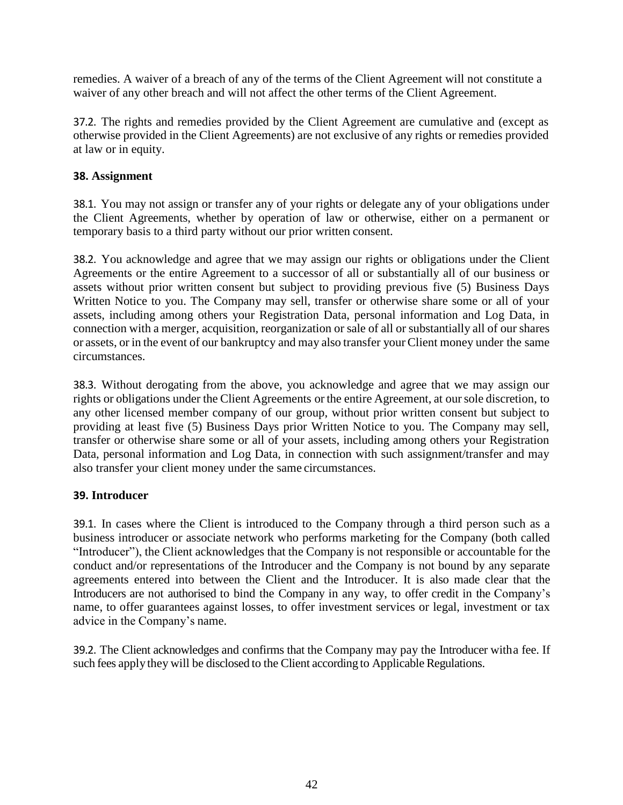remedies. A waiver of a breach of any of the terms of the Client Agreement will not constitute a waiver of any other breach and will not affect the other terms of the Client Agreement.

37.2. The rights and remedies provided by the Client Agreement are cumulative and (except as otherwise provided in the Client Agreements) are not exclusive of any rights or remedies provided at law or in equity.

### **38. Assignment**

38.1. You may not assign or transfer any of your rights or delegate any of your obligations under the Client Agreements, whether by operation of law or otherwise, either on a permanent or temporary basis to a third party without our prior written consent.

38.2. You acknowledge and agree that we may assign our rights or obligations under the Client Agreements or the entire Agreement to a successor of all or substantially all of our business or assets without prior written consent but subject to providing previous five (5) Business Days Written Notice to you. The Company may sell, transfer or otherwise share some or all of your assets, including among others your Registration Data, personal information and Log Data, in connection with a merger, acquisition, reorganization or sale of all or substantially all of our shares or assets, or in the event of our bankruptcy and may also transfer your Client money under the same circumstances.

38.3. Without derogating from the above, you acknowledge and agree that we may assign our rights or obligations under the Client Agreements or the entire Agreement, at oursole discretion, to any other licensed member company of our group, without prior written consent but subject to providing at least five (5) Business Days prior Written Notice to you. The Company may sell, transfer or otherwise share some or all of your assets, including among others your Registration Data, personal information and Log Data, in connection with such assignment/transfer and may also transfer your client money under the same circumstances.

# **39. Introducer**

39.1. In cases where the Client is introduced to the Company through a third person such as a business introducer or associate network who performs marketing for the Company (both called "Introducer"), the Client acknowledges that the Company is not responsible or accountable for the conduct and/or representations of the Introducer and the Company is not bound by any separate agreements entered into between the Client and the Introducer. It is also made clear that the Introducers are not authorised to bind the Company in any way, to offer credit in the Company's name, to offer guarantees against losses, to offer investment services or legal, investment or tax advice in the Company's name.

39.2. The Client acknowledges and confirms that the Company may pay the Introducer witha fee. If such fees apply they will be disclosed to the Client according to Applicable Regulations.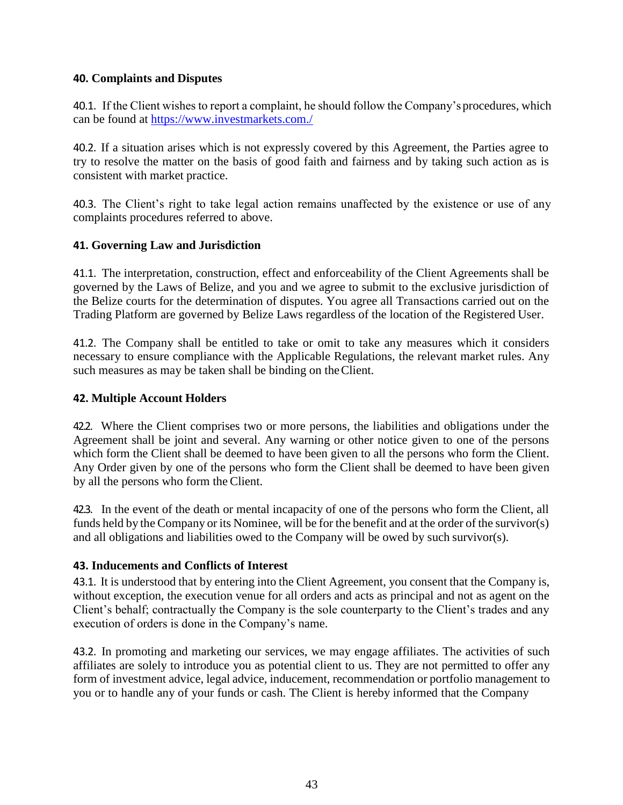### **40. Complaints and Disputes**

40.1. If the Client wishes to report a complaint, he should follow the Company'sprocedures, which can be found at <https://www.investmarkets.com./>

40.2. If a situation arises which is not expressly covered by this Agreement, the Parties agree to try to resolve the matter on the basis of good faith and fairness and by taking such action as is consistent with market practice.

40.3. The Client's right to take legal action remains unaffected by the existence or use of any complaints procedures referred to above.

### **41. Governing Law and Jurisdiction**

41.1. The interpretation, construction, effect and enforceability of the Client Agreements shall be governed by the Laws of Belize, and you and we agree to submit to the exclusive jurisdiction of the Belize courts for the determination of disputes. You agree all Transactions carried out on the Trading Platform are governed by Belize Laws regardless of the location of the Registered User.

41.2. The Company shall be entitled to take or omit to take any measures which it considers necessary to ensure compliance with the Applicable Regulations, the relevant market rules. Any such measures as may be taken shall be binding on theClient.

### **42. Multiple Account Holders**

42.2. Where the Client comprises two or more persons, the liabilities and obligations under the Agreement shall be joint and several. Any warning or other notice given to one of the persons which form the Client shall be deemed to have been given to all the persons who form the Client. Any Order given by one of the persons who form the Client shall be deemed to have been given by all the persons who form the Client.

42.3. In the event of the death or mental incapacity of one of the persons who form the Client, all funds held by the Company or its Nominee, will be for the benefit and at the order of the survivor(s) and all obligations and liabilities owed to the Company will be owed by such survivor(s).

#### **43. Inducements and Conflicts of Interest**

43.1. It is understood that by entering into the Client Agreement, you consent that the Company is, without exception, the execution venue for all orders and acts as principal and not as agent on the Client's behalf; contractually the Company is the sole counterparty to the Client's trades and any execution of orders is done in the Company's name.

43.2. In promoting and marketing our services, we may engage affiliates. The activities of such affiliates are solely to introduce you as potential client to us. They are not permitted to offer any form of investment advice, legal advice, inducement, recommendation or portfolio management to you or to handle any of your funds or cash. The Client is hereby informed that the Company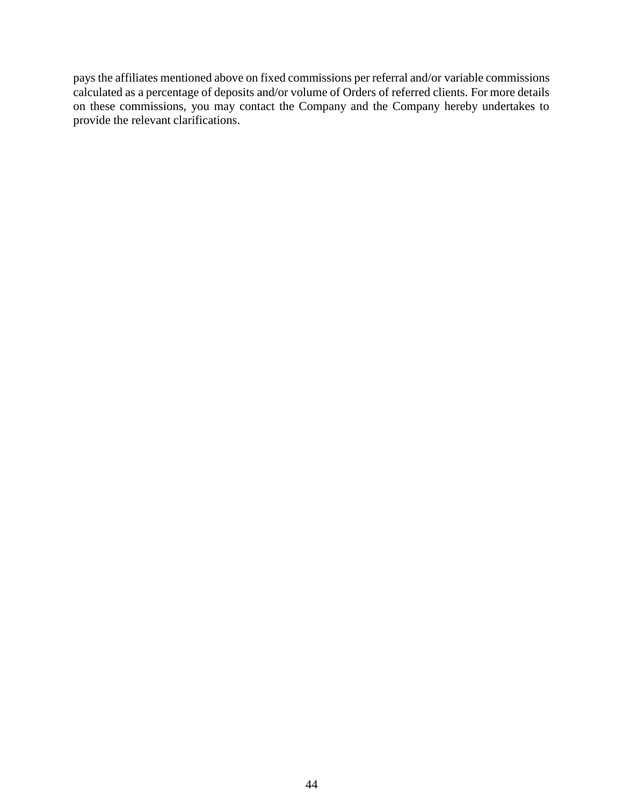pays the affiliates mentioned above on fixed commissions per referral and/or variable commissions calculated as a percentage of deposits and/or volume of Orders of referred clients. For more details on these commissions, you may contact the Company and the Company hereby undertakes to provide the relevant clarifications.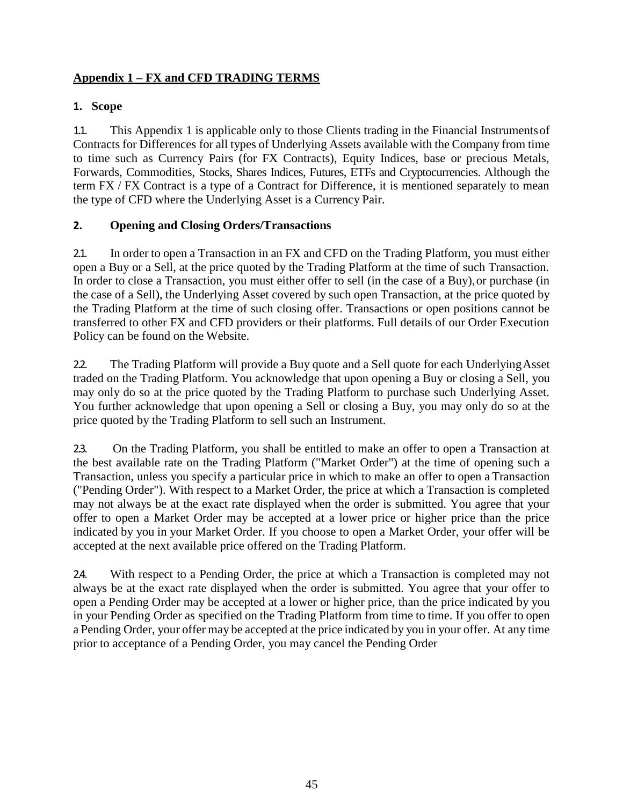# **Appendix 1 – FX and CFD TRADING TERMS**

### **1. Scope**

1.1. This Appendix 1 is applicable only to those Clients trading in the Financial Instrumentsof Contracts for Differences for all types of Underlying Assets available with the Company from time to time such as Currency Pairs (for FX Contracts), Equity Indices, base or precious Metals, Forwards, Commodities, Stocks, Shares Indices, Futures, ETFs and Cryptocurrencies. Although the term FX / FX Contract is a type of a Contract for Difference, it is mentioned separately to mean the type of CFD where the Underlying Asset is a Currency Pair.

### **2. Opening and Closing Orders/Transactions**

2.1. In order to open a Transaction in an FX and CFD on the Trading Platform, you must either open a Buy or a Sell, at the price quoted by the Trading Platform at the time of such Transaction. In order to close a Transaction, you must either offer to sell (in the case of a Buy), or purchase (in the case of a Sell), the Underlying Asset covered by such open Transaction, at the price quoted by the Trading Platform at the time of such closing offer. Transactions or open positions cannot be transferred to other FX and CFD providers or their platforms. Full details of our Order Execution Policy can be found on the Website.

2.2. The Trading Platform will provide a Buy quote and a Sell quote for each UnderlyingAsset traded on the Trading Platform. You acknowledge that upon opening a Buy or closing a Sell, you may only do so at the price quoted by the Trading Platform to purchase such Underlying Asset. You further acknowledge that upon opening a Sell or closing a Buy, you may only do so at the price quoted by the Trading Platform to sell such an Instrument.

2.3. On the Trading Platform, you shall be entitled to make an offer to open a Transaction at the best available rate on the Trading Platform ("Market Order") at the time of opening such a Transaction, unless you specify a particular price in which to make an offer to open a Transaction ("Pending Order"). With respect to a Market Order, the price at which a Transaction is completed may not always be at the exact rate displayed when the order is submitted. You agree that your offer to open a Market Order may be accepted at a lower price or higher price than the price indicated by you in your Market Order. If you choose to open a Market Order, your offer will be accepted at the next available price offered on the Trading Platform.

2.4. With respect to a Pending Order, the price at which a Transaction is completed may not always be at the exact rate displayed when the order is submitted. You agree that your offer to open a Pending Order may be accepted at a lower or higher price, than the price indicated by you in your Pending Order as specified on the Trading Platform from time to time. If you offer to open a Pending Order, your offer may be accepted at the price indicated by you in your offer. At any time prior to acceptance of a Pending Order, you may cancel the Pending Order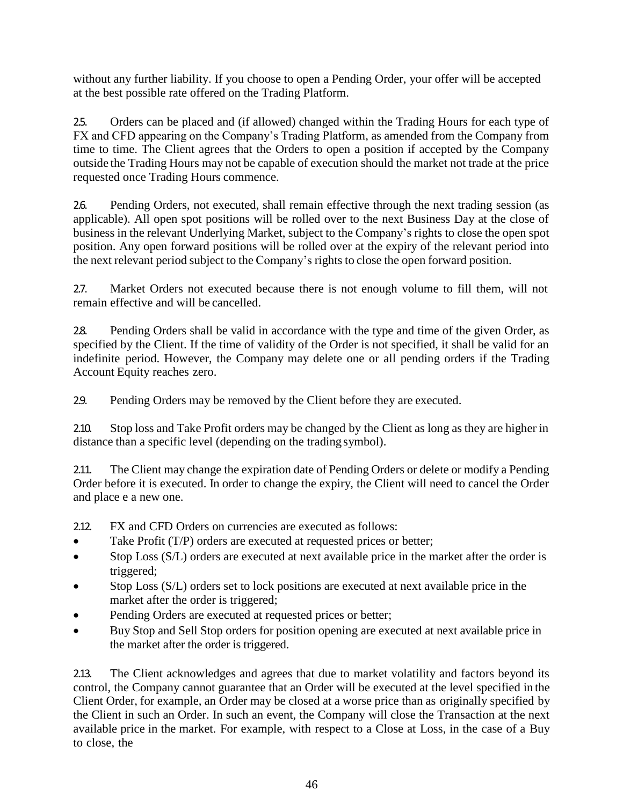without any further liability. If you choose to open a Pending Order, your offer will be accepted at the best possible rate offered on the Trading Platform.

2.5. Orders can be placed and (if allowed) changed within the Trading Hours for each type of FX and CFD appearing on the Company's Trading Platform, as amended from the Company from time to time. The Client agrees that the Orders to open a position if accepted by the Company outside the Trading Hours may not be capable of execution should the market not trade at the price requested once Trading Hours commence.

2.6. Pending Orders, not executed, shall remain effective through the next trading session (as applicable). All open spot positions will be rolled over to the next Business Day at the close of business in the relevant Underlying Market, subject to the Company's rights to close the open spot position. Any open forward positions will be rolled over at the expiry of the relevant period into the next relevant period subject to the Company's rights to close the open forward position.

2.7. Market Orders not executed because there is not enough volume to fill them, will not remain effective and will be cancelled.

2.8. Pending Orders shall be valid in accordance with the type and time of the given Order, as specified by the Client. If the time of validity of the Order is not specified, it shall be valid for an indefinite period. However, the Company may delete one or all pending orders if the Trading Account Equity reaches zero.

2.9. Pending Orders may be removed by the Client before they are executed.

2.10. Stop loss and Take Profit orders may be changed by the Client as long as they are higher in distance than a specific level (depending on the trading symbol).

2.11. The Client may change the expiration date of Pending Orders or delete or modify a Pending Order before it is executed. In order to change the expiry, the Client will need to cancel the Order and place e a new one.

- 2.12. FX and CFD Orders on currencies are executed as follows:
- Take Profit (T/P) orders are executed at requested prices or better;
- Stop Loss (S/L) orders are executed at next available price in the market after the order is triggered;
- Stop Loss (S/L) orders set to lock positions are executed at next available price in the market after the order is triggered;
- Pending Orders are executed at requested prices or better;
- Buy Stop and Sell Stop orders for position opening are executed at next available price in the market after the order is triggered.

2.13. The Client acknowledges and agrees that due to market volatility and factors beyond its control, the Company cannot guarantee that an Order will be executed at the level specified in the Client Order, for example, an Order may be closed at a worse price than as originally specified by the Client in such an Order. In such an event, the Company will close the Transaction at the next available price in the market. For example, with respect to a Close at Loss, in the case of a Buy to close, the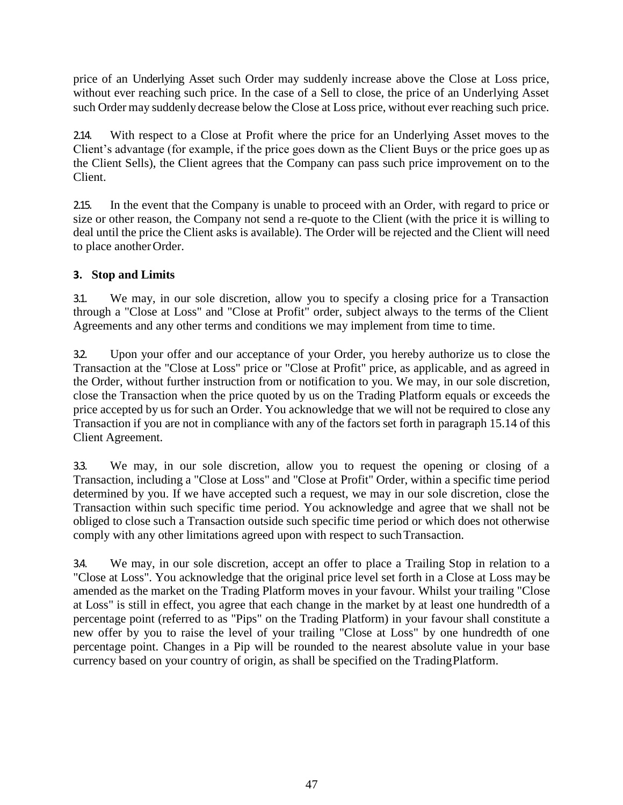price of an Underlying Asset such Order may suddenly increase above the Close at Loss price, without ever reaching such price. In the case of a Sell to close, the price of an Underlying Asset such Order may suddenly decrease below the Close at Loss price, without ever reaching such price.

2.14. With respect to a Close at Profit where the price for an Underlying Asset moves to the Client's advantage (for example, if the price goes down as the Client Buys or the price goes up as the Client Sells), the Client agrees that the Company can pass such price improvement on to the Client.

2.15. In the event that the Company is unable to proceed with an Order, with regard to price or size or other reason, the Company not send a re-quote to the Client (with the price it is willing to deal until the price the Client asks is available). The Order will be rejected and the Client will need to place another Order.

# **3. Stop and Limits**

3.1. We may, in our sole discretion, allow you to specify a closing price for a Transaction through a "Close at Loss" and "Close at Profit" order, subject always to the terms of the Client Agreements and any other terms and conditions we may implement from time to time.

3.2. Upon your offer and our acceptance of your Order, you hereby authorize us to close the Transaction at the "Close at Loss" price or "Close at Profit" price, as applicable, and as agreed in the Order, without further instruction from or notification to you. We may, in our sole discretion, close the Transaction when the price quoted by us on the Trading Platform equals or exceeds the price accepted by us for such an Order. You acknowledge that we will not be required to close any Transaction if you are not in compliance with any of the factors set forth in paragraph 15.14 of this Client Agreement.

3.3. We may, in our sole discretion, allow you to request the opening or closing of a Transaction, including a "Close at Loss" and "Close at Profit" Order, within a specific time period determined by you. If we have accepted such a request, we may in our sole discretion, close the Transaction within such specific time period. You acknowledge and agree that we shall not be obliged to close such a Transaction outside such specific time period or which does not otherwise comply with any other limitations agreed upon with respect to such Transaction.

3.4. We may, in our sole discretion, accept an offer to place a Trailing Stop in relation to a "Close at Loss". You acknowledge that the original price level set forth in a Close at Loss may be amended as the market on the Trading Platform moves in your favour. Whilst your trailing "Close at Loss" is still in effect, you agree that each change in the market by at least one hundredth of a percentage point (referred to as "Pips" on the Trading Platform) in your favour shall constitute a new offer by you to raise the level of your trailing "Close at Loss" by one hundredth of one percentage point. Changes in a Pip will be rounded to the nearest absolute value in your base currency based on your country of origin, as shall be specified on the TradingPlatform.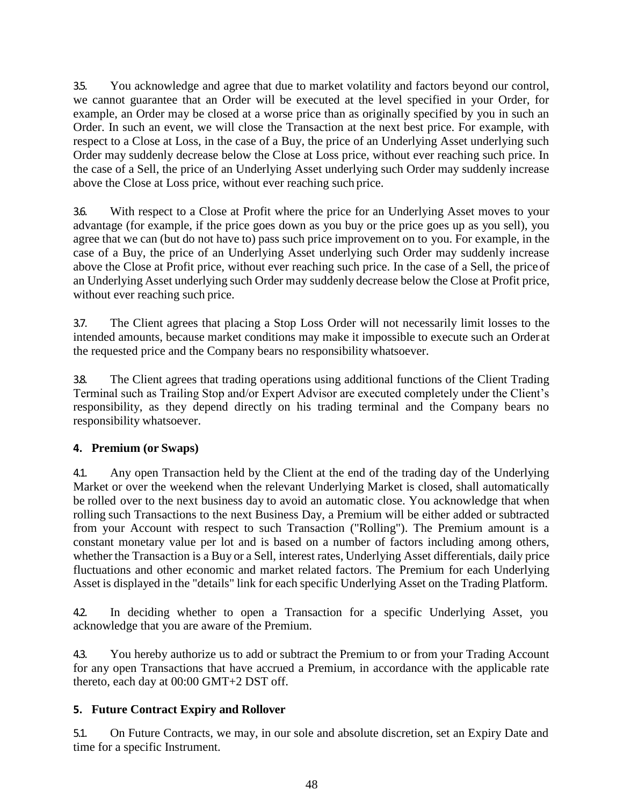3.5. You acknowledge and agree that due to market volatility and factors beyond our control, we cannot guarantee that an Order will be executed at the level specified in your Order, for example, an Order may be closed at a worse price than as originally specified by you in such an Order. In such an event, we will close the Transaction at the next best price. For example, with respect to a Close at Loss, in the case of a Buy, the price of an Underlying Asset underlying such Order may suddenly decrease below the Close at Loss price, without ever reaching such price. In the case of a Sell, the price of an Underlying Asset underlying such Order may suddenly increase above the Close at Loss price, without ever reaching such price.

3.6. With respect to a Close at Profit where the price for an Underlying Asset moves to your advantage (for example, if the price goes down as you buy or the price goes up as you sell), you agree that we can (but do not have to) pass such price improvement on to you. For example, in the case of a Buy, the price of an Underlying Asset underlying such Order may suddenly increase above the Close at Profit price, without ever reaching such price. In the case of a Sell, the priceof an Underlying Asset underlying such Order may suddenly decrease below the Close at Profit price, without ever reaching such price.

3.7. The Client agrees that placing a Stop Loss Order will not necessarily limit losses to the intended amounts, because market conditions may make it impossible to execute such an Order at the requested price and the Company bears no responsibility whatsoever.

3.8. The Client agrees that trading operations using additional functions of the Client Trading Terminal such as Trailing Stop and/or Expert Advisor are executed completely under the Client's responsibility, as they depend directly on his trading terminal and the Company bears no responsibility whatsoever.

# **4. Premium (or Swaps)**

4.1. Any open Transaction held by the Client at the end of the trading day of the Underlying Market or over the weekend when the relevant Underlying Market is closed, shall automatically be rolled over to the next business day to avoid an automatic close. You acknowledge that when rolling such Transactions to the next Business Day, a Premium will be either added or subtracted from your Account with respect to such Transaction ("Rolling"). The Premium amount is a constant monetary value per lot and is based on a number of factors including among others, whether the Transaction is a Buy or a Sell, interest rates, Underlying Asset differentials, daily price fluctuations and other economic and market related factors. The Premium for each Underlying Asset is displayed in the "details" link for each specific Underlying Asset on the Trading Platform.

4.2. In deciding whether to open a Transaction for a specific Underlying Asset, you acknowledge that you are aware of the Premium.

4.3. You hereby authorize us to add or subtract the Premium to or from your Trading Account for any open Transactions that have accrued a Premium, in accordance with the applicable rate thereto, each day at 00:00 GMT+2 DST off.

# **5. Future Contract Expiry and Rollover**

5.1. On Future Contracts, we may, in our sole and absolute discretion, set an Expiry Date and time for a specific Instrument.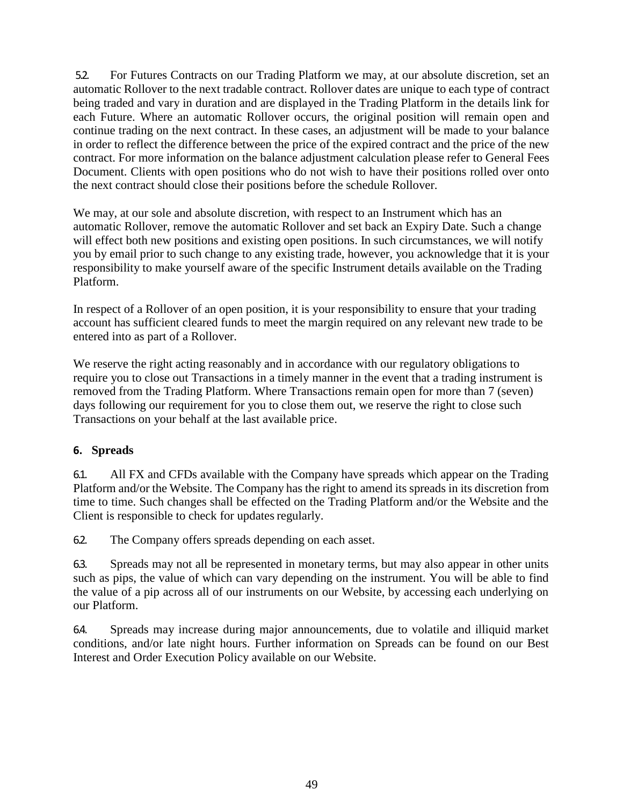5.2. For Futures Contracts on our Trading Platform we may, at our absolute discretion, set an automatic Rollover to the next tradable contract. Rollover dates are unique to each type of contract being traded and vary in duration and are displayed in the Trading Platform in the details link for each Future. Where an automatic Rollover occurs, the original position will remain open and continue trading on the next contract. In these cases, an adjustment will be made to your balance in order to reflect the difference between the price of the expired contract and the price of the new contract. For more information on the balance adjustment calculation please refer to General Fees Document. Clients with open positions who do not wish to have their positions rolled over onto the next contract should close their positions before the schedule Rollover.

We may, at our sole and absolute discretion, with respect to an Instrument which has an automatic Rollover, remove the automatic Rollover and set back an Expiry Date. Such a change will effect both new positions and existing open positions. In such circumstances, we will notify you by email prior to such change to any existing trade, however, you acknowledge that it is your responsibility to make yourself aware of the specific Instrument details available on the Trading Platform.

In respect of a Rollover of an open position, it is your responsibility to ensure that your trading account has sufficient cleared funds to meet the margin required on any relevant new trade to be entered into as part of a Rollover.

We reserve the right acting reasonably and in accordance with our regulatory obligations to require you to close out Transactions in a timely manner in the event that a trading instrument is removed from the Trading Platform. Where Transactions remain open for more than 7 (seven) days following our requirement for you to close them out, we reserve the right to close such Transactions on your behalf at the last available price.

# **6. Spreads**

6.1. All FX and CFDs available with the Company have spreads which appear on the Trading Platform and/or the Website. The Company has the right to amend its spreads in its discretion from time to time. Such changes shall be effected on the Trading Platform and/or the Website and the Client is responsible to check for updates regularly.

6.2. The Company offers spreads depending on each asset.

6.3. Spreads may not all be represented in monetary terms, but may also appear in other units such as pips, the value of which can vary depending on the instrument. You will be able to find the value of a pip across all of our instruments on our Website, by accessing each underlying on our Platform.

6.4. Spreads may increase during major announcements, due to volatile and illiquid market conditions, and/or late night hours. Further information on Spreads can be found on our Best Interest and Order Execution Policy available on our Website.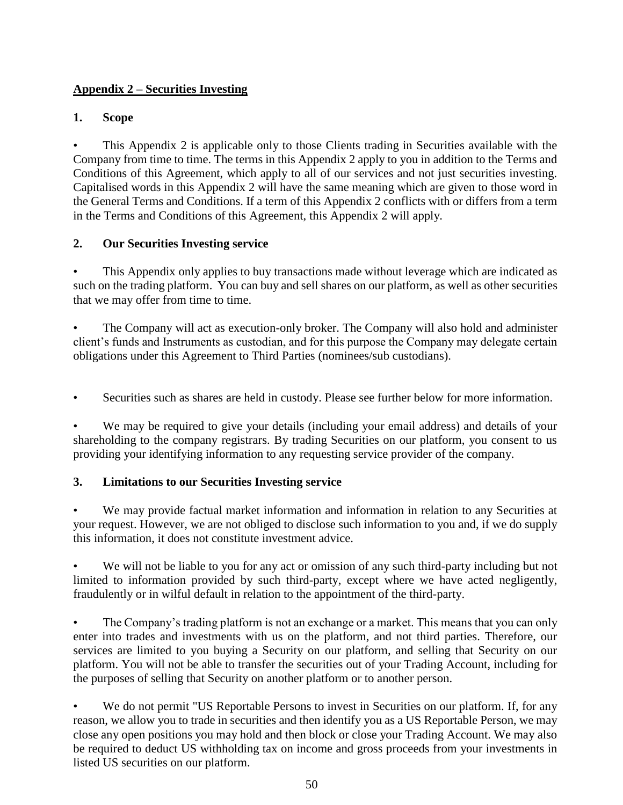# **Appendix 2 – Securities Investing**

# **1. Scope**

• This Appendix 2 is applicable only to those Clients trading in Securities available with the Company from time to time. The terms in this Appendix 2 apply to you in addition to the Terms and Conditions of this Agreement, which apply to all of our services and not just securities investing. Capitalised words in this Appendix 2 will have the same meaning which are given to those word in the General Terms and Conditions. If a term of this Appendix 2 conflicts with or differs from a term in the Terms and Conditions of this Agreement, this Appendix 2 will apply.

# **2. Our Securities Investing service**

This Appendix only applies to buy transactions made without leverage which are indicated as such on the trading platform. You can buy and sell shares on our platform, as well as other securities that we may offer from time to time.

• The Company will act as execution-only broker. The Company will also hold and administer client's funds and Instruments as custodian, and for this purpose the Company may delegate certain obligations under this Agreement to Third Parties (nominees/sub custodians).

• Securities such as shares are held in custody. Please see further below for more information.

We may be required to give your details (including your email address) and details of your shareholding to the company registrars. By trading Securities on our platform, you consent to us providing your identifying information to any requesting service provider of the company.

# **3. Limitations to our Securities Investing service**

We may provide factual market information and information in relation to any Securities at your request. However, we are not obliged to disclose such information to you and, if we do supply this information, it does not constitute investment advice.

We will not be liable to you for any act or omission of any such third-party including but not limited to information provided by such third-party, except where we have acted negligently, fraudulently or in wilful default in relation to the appointment of the third-party.

• The Company's trading platform is not an exchange or a market. This means that you can only enter into trades and investments with us on the platform, and not third parties. Therefore, our services are limited to you buying a Security on our platform, and selling that Security on our platform. You will not be able to transfer the securities out of your Trading Account, including for the purposes of selling that Security on another platform or to another person.

We do not permit "US Reportable Persons to invest in Securities on our platform. If, for any reason, we allow you to trade in securities and then identify you as a US Reportable Person, we may close any open positions you may hold and then block or close your Trading Account. We may also be required to deduct US withholding tax on income and gross proceeds from your investments in listed US securities on our platform.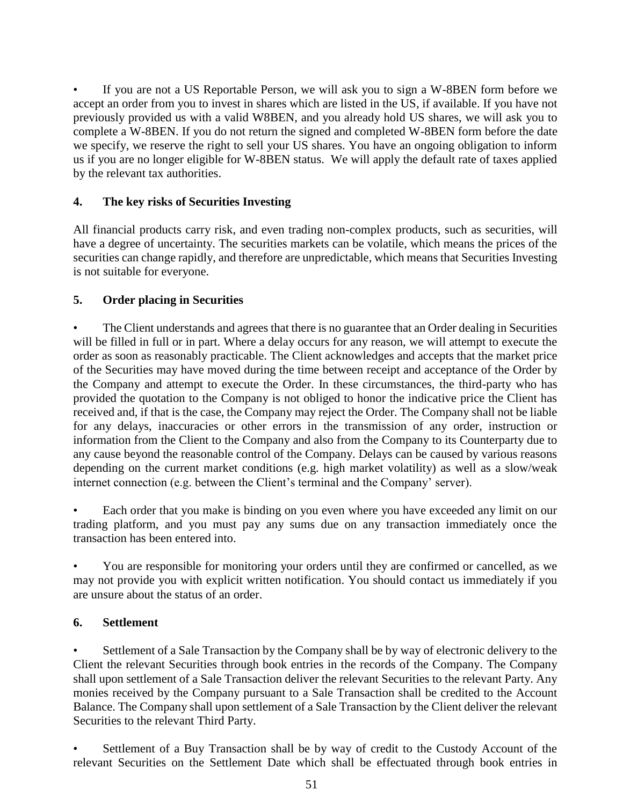If you are not a US Reportable Person, we will ask you to sign a W-8BEN form before we accept an order from you to invest in shares which are listed in the US, if available. If you have not previously provided us with a valid W8BEN, and you already hold US shares, we will ask you to complete a W-8BEN. If you do not return the signed and completed W-8BEN form before the date we specify, we reserve the right to sell your US shares. You have an ongoing obligation to inform us if you are no longer eligible for W-8BEN status. We will apply the default rate of taxes applied by the relevant tax authorities.

# **4. The key risks of Securities Investing**

All financial products carry risk, and even trading non-complex products, such as securities, will have a degree of uncertainty. The securities markets can be volatile, which means the prices of the securities can change rapidly, and therefore are unpredictable, which means that Securities Investing is not suitable for everyone.

# **5. Order placing in Securities**

• The Client understands and agrees that there is no guarantee that an Order dealing in Securities will be filled in full or in part. Where a delay occurs for any reason, we will attempt to execute the order as soon as reasonably practicable. The Client acknowledges and accepts that the market price of the Securities may have moved during the time between receipt and acceptance of the Order by the Company and attempt to execute the Order. In these circumstances, the third-party who has provided the quotation to the Company is not obliged to honor the indicative price the Client has received and, if that is the case, the Company may reject the Order. The Company shall not be liable for any delays, inaccuracies or other errors in the transmission of any order, instruction or information from the Client to the Company and also from the Company to its Counterparty due to any cause beyond the reasonable control of the Company. Delays can be caused by various reasons depending on the current market conditions (e.g. high market volatility) as well as a slow/weak internet connection (e.g. between the Client's terminal and the Company' server).

• Each order that you make is binding on you even where you have exceeded any limit on our trading platform, and you must pay any sums due on any transaction immediately once the transaction has been entered into.

• You are responsible for monitoring your orders until they are confirmed or cancelled, as we may not provide you with explicit written notification. You should contact us immediately if you are unsure about the status of an order.

# **6. Settlement**

• Settlement of a Sale Transaction by the Company shall be by way of electronic delivery to the Client the relevant Securities through book entries in the records of the Company. The Company shall upon settlement of a Sale Transaction deliver the relevant Securities to the relevant Party. Any monies received by the Company pursuant to a Sale Transaction shall be credited to the Account Balance. The Company shall upon settlement of a Sale Transaction by the Client deliver the relevant Securities to the relevant Third Party.

Settlement of a Buy Transaction shall be by way of credit to the Custody Account of the relevant Securities on the Settlement Date which shall be effectuated through book entries in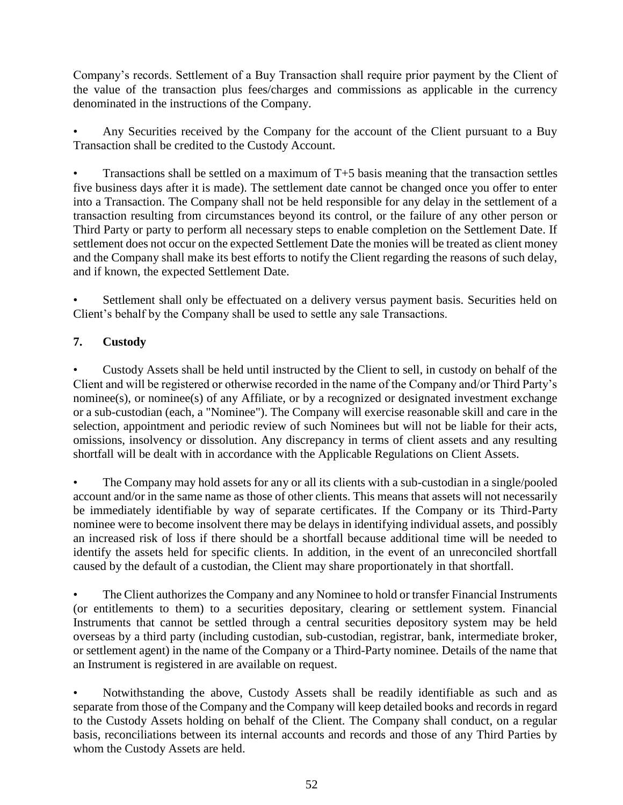Company's records. Settlement of a Buy Transaction shall require prior payment by the Client of the value of the transaction plus fees/charges and commissions as applicable in the currency denominated in the instructions of the Company.

Any Securities received by the Company for the account of the Client pursuant to a Buy Transaction shall be credited to the Custody Account.

Transactions shall be settled on a maximum of  $T+5$  basis meaning that the transaction settles five business days after it is made). The settlement date cannot be changed once you offer to enter into a Transaction. The Company shall not be held responsible for any delay in the settlement of a transaction resulting from circumstances beyond its control, or the failure of any other person or Third Party or party to perform all necessary steps to enable completion on the Settlement Date. If settlement does not occur on the expected Settlement Date the monies will be treated as client money and the Company shall make its best efforts to notify the Client regarding the reasons of such delay, and if known, the expected Settlement Date.

Settlement shall only be effectuated on a delivery versus payment basis. Securities held on Client's behalf by the Company shall be used to settle any sale Transactions.

# **7. Custody**

• Custody Assets shall be held until instructed by the Client to sell, in custody on behalf of the Client and will be registered or otherwise recorded in the name of the Company and/or Third Party's nominee(s), or nominee(s) of any Affiliate, or by a recognized or designated investment exchange or a sub-custodian (each, a "Nominee"). The Company will exercise reasonable skill and care in the selection, appointment and periodic review of such Nominees but will not be liable for their acts, omissions, insolvency or dissolution. Any discrepancy in terms of client assets and any resulting shortfall will be dealt with in accordance with the Applicable Regulations on Client Assets.

• The Company may hold assets for any or all its clients with a sub-custodian in a single/pooled account and/or in the same name as those of other clients. This means that assets will not necessarily be immediately identifiable by way of separate certificates. If the Company or its Third-Party nominee were to become insolvent there may be delays in identifying individual assets, and possibly an increased risk of loss if there should be a shortfall because additional time will be needed to identify the assets held for specific clients. In addition, in the event of an unreconciled shortfall caused by the default of a custodian, the Client may share proportionately in that shortfall.

• The Client authorizes the Company and any Nominee to hold or transfer Financial Instruments (or entitlements to them) to a securities depositary, clearing or settlement system. Financial Instruments that cannot be settled through a central securities depository system may be held overseas by a third party (including custodian, sub-custodian, registrar, bank, intermediate broker, or settlement agent) in the name of the Company or a Third-Party nominee. Details of the name that an Instrument is registered in are available on request.

• Notwithstanding the above, Custody Assets shall be readily identifiable as such and as separate from those of the Company and the Company will keep detailed books and records in regard to the Custody Assets holding on behalf of the Client. The Company shall conduct, on a regular basis, reconciliations between its internal accounts and records and those of any Third Parties by whom the Custody Assets are held.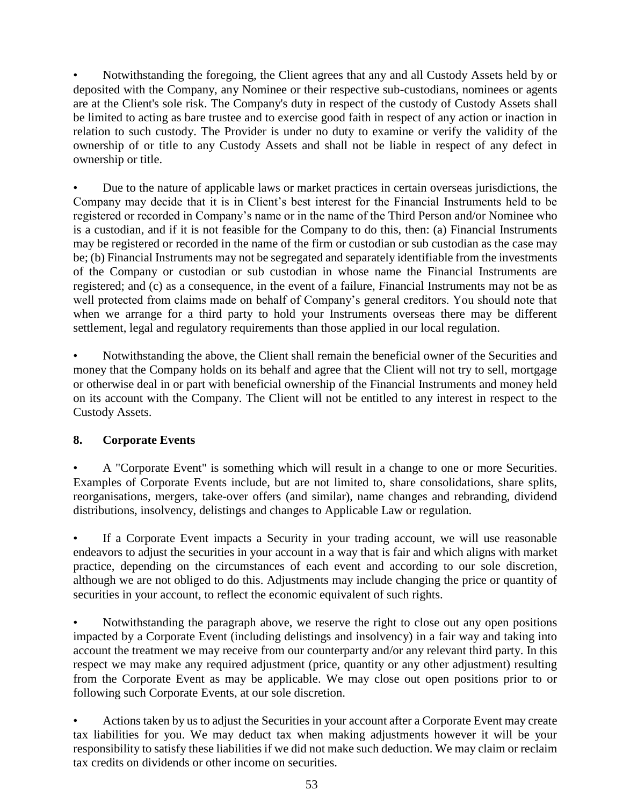• Notwithstanding the foregoing, the Client agrees that any and all Custody Assets held by or deposited with the Company, any Nominee or their respective sub-custodians, nominees or agents are at the Client's sole risk. The Company's duty in respect of the custody of Custody Assets shall be limited to acting as bare trustee and to exercise good faith in respect of any action or inaction in relation to such custody. The Provider is under no duty to examine or verify the validity of the ownership of or title to any Custody Assets and shall not be liable in respect of any defect in ownership or title.

• Due to the nature of applicable laws or market practices in certain overseas jurisdictions, the Company may decide that it is in Client's best interest for the Financial Instruments held to be registered or recorded in Company's name or in the name of the Third Person and/or Nominee who is a custodian, and if it is not feasible for the Company to do this, then: (a) Financial Instruments may be registered or recorded in the name of the firm or custodian or sub custodian as the case may be; (b) Financial Instruments may not be segregated and separately identifiable from the investments of the Company or custodian or sub custodian in whose name the Financial Instruments are registered; and (c) as a consequence, in the event of a failure, Financial Instruments may not be as well protected from claims made on behalf of Company's general creditors. You should note that when we arrange for a third party to hold your Instruments overseas there may be different settlement, legal and regulatory requirements than those applied in our local regulation.

• Notwithstanding the above, the Client shall remain the beneficial owner of the Securities and money that the Company holds on its behalf and agree that the Client will not try to sell, mortgage or otherwise deal in or part with beneficial ownership of the Financial Instruments and money held on its account with the Company. The Client will not be entitled to any interest in respect to the Custody Assets.

# **8. Corporate Events**

• A "Corporate Event" is something which will result in a change to one or more Securities. Examples of Corporate Events include, but are not limited to, share consolidations, share splits, reorganisations, mergers, take-over offers (and similar), name changes and rebranding, dividend distributions, insolvency, delistings and changes to Applicable Law or regulation.

If a Corporate Event impacts a Security in your trading account, we will use reasonable endeavors to adjust the securities in your account in a way that is fair and which aligns with market practice, depending on the circumstances of each event and according to our sole discretion, although we are not obliged to do this. Adjustments may include changing the price or quantity of securities in your account, to reflect the economic equivalent of such rights.

• Notwithstanding the paragraph above, we reserve the right to close out any open positions impacted by a Corporate Event (including delistings and insolvency) in a fair way and taking into account the treatment we may receive from our counterparty and/or any relevant third party. In this respect we may make any required adjustment (price, quantity or any other adjustment) resulting from the Corporate Event as may be applicable. We may close out open positions prior to or following such Corporate Events, at our sole discretion.

• Actions taken by us to adjust the Securities in your account after a Corporate Event may create tax liabilities for you. We may deduct tax when making adjustments however it will be your responsibility to satisfy these liabilities if we did not make such deduction. We may claim or reclaim tax credits on dividends or other income on securities.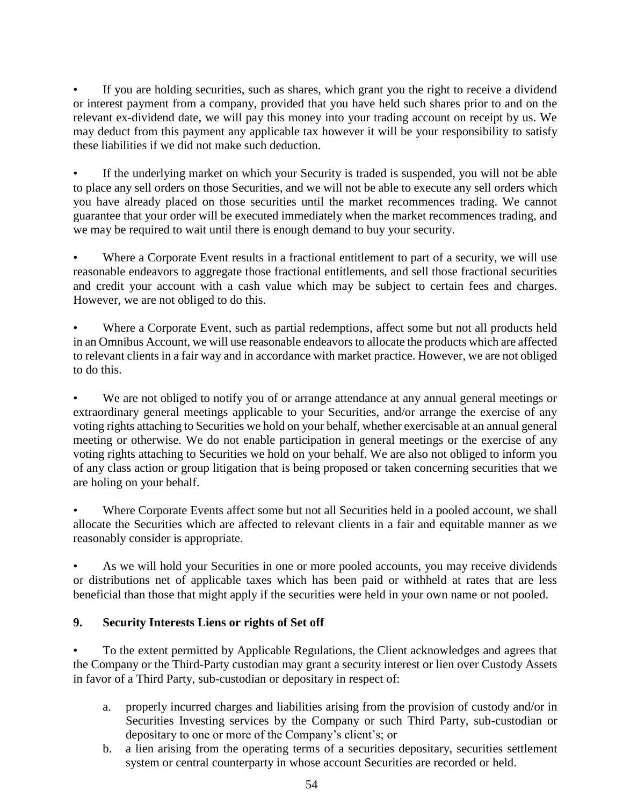If you are holding securities, such as shares, which grant you the right to receive a dividend or interest payment from a company, provided that you have held such shares prior to and on the relevant ex-dividend date, we will pay this money into your trading account on receipt by us. We may deduct from this payment any applicable tax however it will be your responsibility to satisfy these liabilities if we did not make such deduction.

If the underlying market on which your Security is traded is suspended, you will not be able to place any sell orders on those Securities, and we will not be able to execute any sell orders which you have already placed on those securities until the market recommences trading. We cannot guarantee that your order will be executed immediately when the market recommences trading, and we may be required to wait until there is enough demand to buy your security.

Where a Corporate Event results in a fractional entitlement to part of a security, we will use reasonable endeavors to aggregate those fractional entitlements, and sell those fractional securities and credit your account with a cash value which may be subject to certain fees and charges. However, we are not obliged to do this.

Where a Corporate Event, such as partial redemptions, affect some but not all products held in an Omnibus Account, we will use reasonable endeavors to allocate the products which are affected to relevant clients in a fair way and in accordance with market practice. However, we are not obliged to do this.

We are not obliged to notify you of or arrange attendance at any annual general meetings or extraordinary general meetings applicable to your Securities, and/or arrange the exercise of any voting rights attaching to Securities we hold on your behalf, whether exercisable at an annual general meeting or otherwise. We do not enable participation in general meetings or the exercise of any voting rights attaching to Securities we hold on your behalf. We are also not obliged to inform you of any class action or group litigation that is being proposed or taken concerning securities that we are holing on your behalf.

Where Corporate Events affect some but not all Securities held in a pooled account, we shall allocate the Securities which are affected to relevant clients in a fair and equitable manner as we reasonably consider is appropriate.

• As we will hold your Securities in one or more pooled accounts, you may receive dividends or distributions net of applicable taxes which has been paid or withheld at rates that are less beneficial than those that might apply if the securities were held in your own name or not pooled.

# **9. Security Interests Liens or rights of Set off**

• To the extent permitted by Applicable Regulations, the Client acknowledges and agrees that the Company or the Third-Party custodian may grant a security interest or lien over Custody Assets in favor of a Third Party, sub-custodian or depositary in respect of:

- a. properly incurred charges and liabilities arising from the provision of custody and/or in Securities Investing services by the Company or such Third Party, sub-custodian or depositary to one or more of the Company's client's; or
- b. a lien arising from the operating terms of a securities depositary, securities settlement system or central counterparty in whose account Securities are recorded or held.